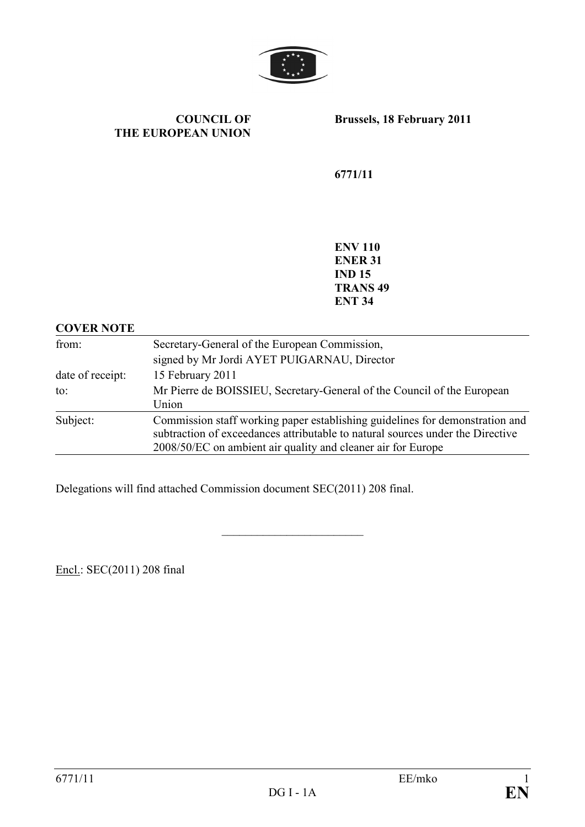

COUNCIL OF THE EUROPEAN UNION Brussels, 18 February 2011

6771/11

ENV 110 ENER 31 IND 15 TRANS 49 ENT 34

### COVER NOTE

| from:            | Secretary-General of the European Commission,<br>signed by Mr Jordi AYET PUIGARNAU, Director                                                                                                                                   |  |  |  |
|------------------|--------------------------------------------------------------------------------------------------------------------------------------------------------------------------------------------------------------------------------|--|--|--|
| date of receipt: | 15 February 2011                                                                                                                                                                                                               |  |  |  |
| $\mathsf{to}$ :  | Mr Pierre de BOISSIEU, Secretary-General of the Council of the European<br>Union                                                                                                                                               |  |  |  |
| Subject:         | Commission staff working paper establishing guidelines for demonstration and<br>subtraction of exceedances attributable to natural sources under the Directive<br>2008/50/EC on ambient air quality and cleaner air for Europe |  |  |  |

\_\_\_\_\_\_\_\_\_\_\_\_\_\_\_\_\_\_\_\_\_\_\_\_

Delegations will find attached Commission document SEC(2011) 208 final.

Encl.: SEC(2011) 208 final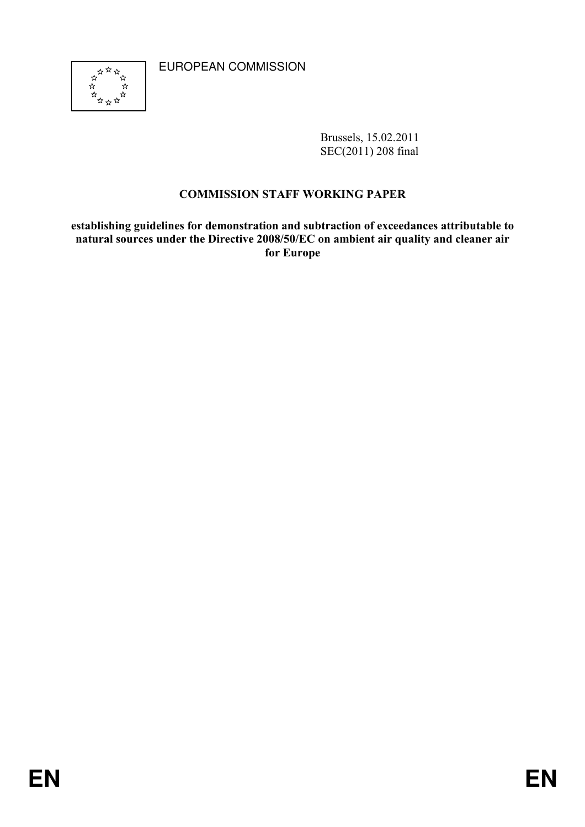EUROPEAN COMMISSION



Brussels, 15.02.2011 SEC(2011) 208 final

# COMMISSION STAFF WORKING PAPER

establishing guidelines for demonstration and subtraction of exceedances attributable to natural sources under the Directive 2008/50/EC on ambient air quality and cleaner air for Europe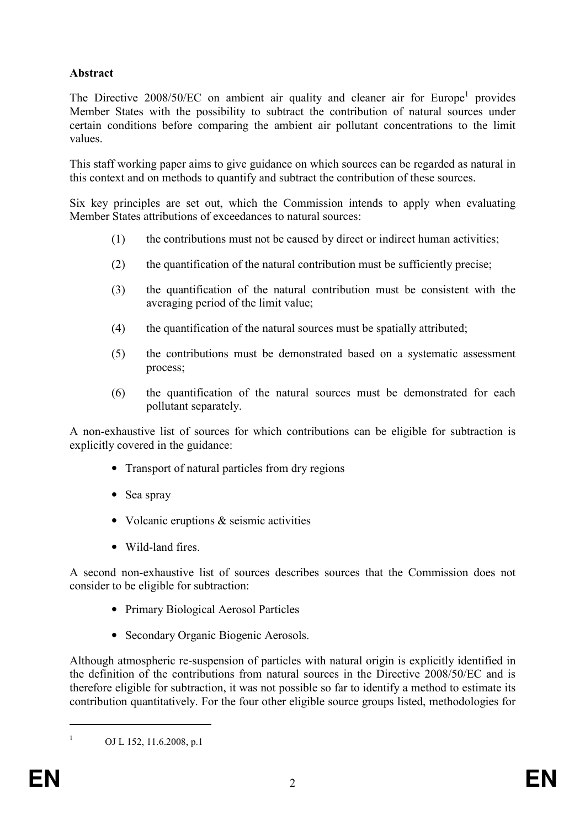# Abstract

The Directive  $2008/50/EC$  on ambient air quality and cleaner air for Europe<sup>1</sup> provides Member States with the possibility to subtract the contribution of natural sources under certain conditions before comparing the ambient air pollutant concentrations to the limit values.

This staff working paper aims to give guidance on which sources can be regarded as natural in this context and on methods to quantify and subtract the contribution of these sources.

Six key principles are set out, which the Commission intends to apply when evaluating Member States attributions of exceedances to natural sources:

- (1) the contributions must not be caused by direct or indirect human activities;
- (2) the quantification of the natural contribution must be sufficiently precise;
- (3) the quantification of the natural contribution must be consistent with the averaging period of the limit value;
- (4) the quantification of the natural sources must be spatially attributed;
- (5) the contributions must be demonstrated based on a systematic assessment process;
- (6) the quantification of the natural sources must be demonstrated for each pollutant separately.

A non-exhaustive list of sources for which contributions can be eligible for subtraction is explicitly covered in the guidance:

- Transport of natural particles from dry regions
- Sea spray
- Volcanic eruptions & seismic activities
- Wild-land fires.

A second non-exhaustive list of sources describes sources that the Commission does not consider to be eligible for subtraction:

- Primary Biological Aerosol Particles
- Secondary Organic Biogenic Aerosols.

Although atmospheric re-suspension of particles with natural origin is explicitly identified in the definition of the contributions from natural sources in the Directive 2008/50/EC and is therefore eligible for subtraction, it was not possible so far to identify a method to estimate its contribution quantitatively. For the four other eligible source groups listed, methodologies for

OJ L 152, 11.6.2008, p.1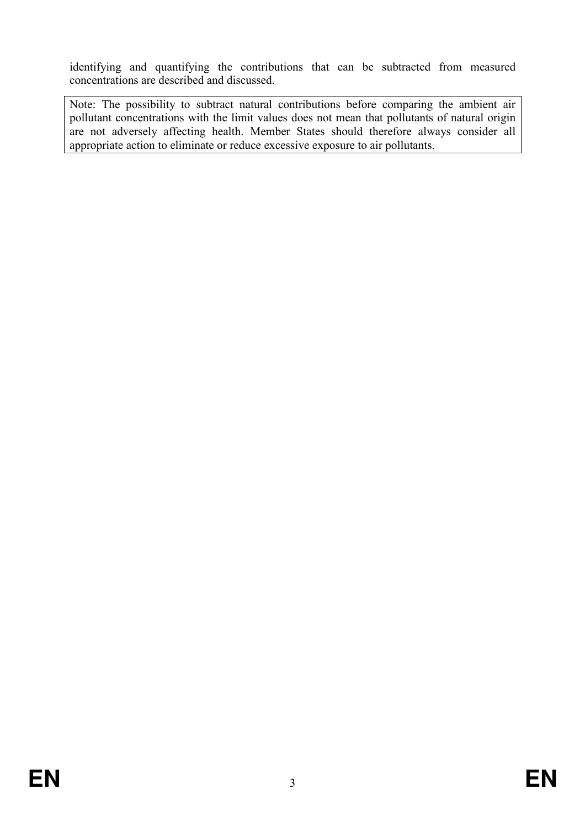identifying and quantifying the contributions that can be subtracted from measured concentrations are described and discussed.

Note: The possibility to subtract natural contributions before comparing the ambient air pollutant concentrations with the limit values does not mean that pollutants of natural origin are not adversely affecting health. Member States should therefore always consider all appropriate action to eliminate or reduce excessive exposure to air pollutants.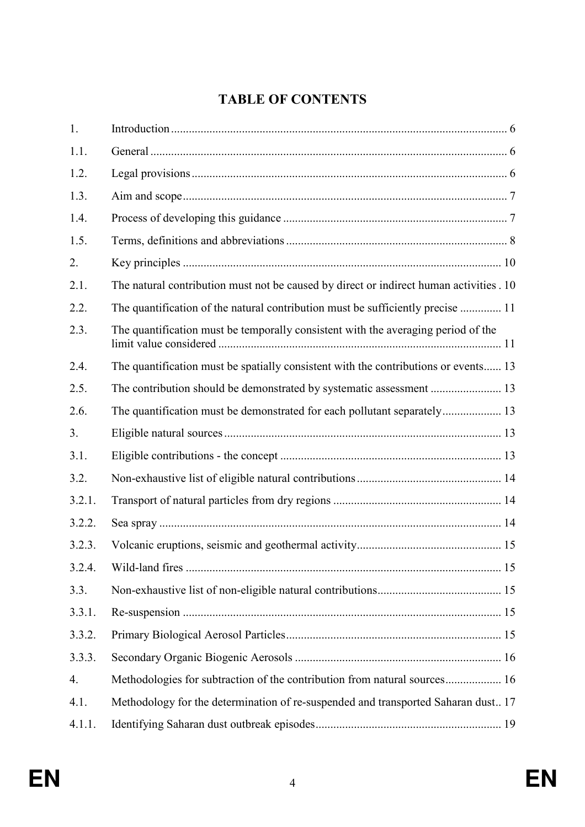# TABLE OF CONTENTS

| 1.     |                                                                                         |  |
|--------|-----------------------------------------------------------------------------------------|--|
| 1.1.   |                                                                                         |  |
| 1.2.   |                                                                                         |  |
| 1.3.   |                                                                                         |  |
| 1.4.   |                                                                                         |  |
| 1.5.   |                                                                                         |  |
| 2.     |                                                                                         |  |
| 2.1.   | The natural contribution must not be caused by direct or indirect human activities . 10 |  |
| 2.2.   | The quantification of the natural contribution must be sufficiently precise  11         |  |
| 2.3.   | The quantification must be temporally consistent with the averaging period of the       |  |
| 2.4.   | The quantification must be spatially consistent with the contributions or events 13     |  |
| 2.5.   |                                                                                         |  |
| 2.6.   |                                                                                         |  |
| 3.     |                                                                                         |  |
| 3.1.   |                                                                                         |  |
| 3.2.   |                                                                                         |  |
| 3.2.1. |                                                                                         |  |
| 3.2.2. |                                                                                         |  |
| 3.2.3. |                                                                                         |  |
| 3.2.4. |                                                                                         |  |
| 3.3.   |                                                                                         |  |
| 3.3.1. |                                                                                         |  |
| 3.3.2. |                                                                                         |  |
| 3.3.3. |                                                                                         |  |
| 4.     |                                                                                         |  |
| 4.1.   | Methodology for the determination of re-suspended and transported Saharan dust17        |  |
| 4.1.1. |                                                                                         |  |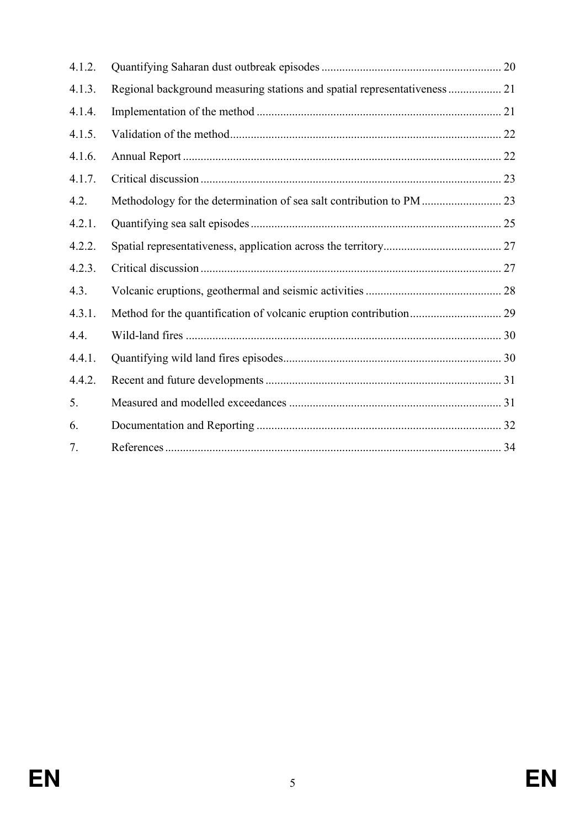| 4.1.2. |                                                                           |  |
|--------|---------------------------------------------------------------------------|--|
| 4.1.3. | Regional background measuring stations and spatial representativeness  21 |  |
| 4.1.4. |                                                                           |  |
| 4.1.5. |                                                                           |  |
| 4.1.6. |                                                                           |  |
| 4.1.7. |                                                                           |  |
| 4.2.   |                                                                           |  |
| 4.2.1. |                                                                           |  |
| 4.2.2. |                                                                           |  |
| 4.2.3. |                                                                           |  |
| 4.3.   |                                                                           |  |
| 4.3.1. |                                                                           |  |
| 4.4.   |                                                                           |  |
| 4.4.1. |                                                                           |  |
| 4.4.2. |                                                                           |  |
| 5.     |                                                                           |  |
| 6.     |                                                                           |  |
| 7.     |                                                                           |  |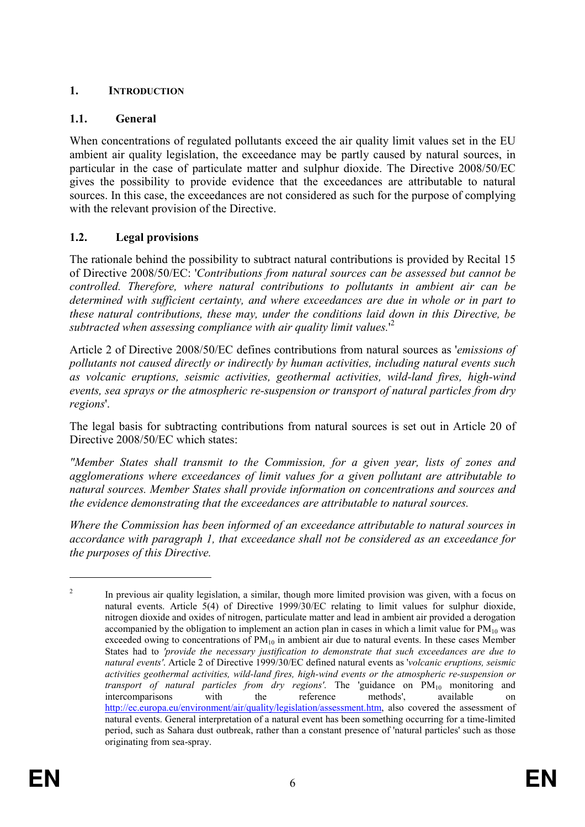# 1. INTRODUCTION

# 1.1. General

When concentrations of regulated pollutants exceed the air quality limit values set in the EU ambient air quality legislation, the exceedance may be partly caused by natural sources, in particular in the case of particulate matter and sulphur dioxide. The Directive 2008/50/EC gives the possibility to provide evidence that the exceedances are attributable to natural sources. In this case, the exceedances are not considered as such for the purpose of complying with the relevant provision of the Directive.

# 1.2. Legal provisions

The rationale behind the possibility to subtract natural contributions is provided by Recital 15 of Directive 2008/50/EC: 'Contributions from natural sources can be assessed but cannot be controlled. Therefore, where natural contributions to pollutants in ambient air can be determined with sufficient certainty, and where exceedances are due in whole or in part to these natural contributions, these may, under the conditions laid down in this Directive, be subtracted when assessing compliance with air quality limit values.<sup>12</sup>

Article 2 of Directive 2008/50/EC defines contributions from natural sources as 'emissions of pollutants not caused directly or indirectly by human activities, including natural events such as volcanic eruptions, seismic activities, geothermal activities, wild-land fires, high-wind events, sea sprays or the atmospheric re-suspension or transport of natural particles from dry regions'.

The legal basis for subtracting contributions from natural sources is set out in Article 20 of Directive 2008/50/EC which states:

"Member States shall transmit to the Commission, for a given year, lists of zones and agglomerations where exceedances of limit values for a given pollutant are attributable to natural sources. Member States shall provide information on concentrations and sources and the evidence demonstrating that the exceedances are attributable to natural sources.

Where the Commission has been informed of an exceedance attributable to natural sources in accordance with paragraph 1, that exceedance shall not be considered as an exceedance for the purposes of this Directive.

 $\overline{2}$  In previous air quality legislation, a similar, though more limited provision was given, with a focus on natural events. Article 5(4) of Directive 1999/30/EC relating to limit values for sulphur dioxide, nitrogen dioxide and oxides of nitrogen, particulate matter and lead in ambient air provided a derogation accompanied by the obligation to implement an action plan in cases in which a limit value for  $PM_{10}$  was exceeded owing to concentrations of  $PM_{10}$  in ambient air due to natural events. In these cases Member States had to 'provide the necessary justification to demonstrate that such exceedances are due to natural events'. Article 2 of Directive 1999/30/EC defined natural events as 'volcanic eruptions, seismic activities geothermal activities, wild-land fires, high-wind events or the atmospheric re-suspension or transport of natural particles from dry regions'. The 'guidance on  $PM_{10}$  monitoring and intercomparisons with the reference methods', available on intercomparisons with the reference methods', available on http://ec.europa.eu/environment/air/quality/legislation/assessment.htm, also covered the assessment of natural events. General interpretation of a natural event has been something occurring for a time-limited period, such as Sahara dust outbreak, rather than a constant presence of 'natural particles' such as those originating from sea-spray.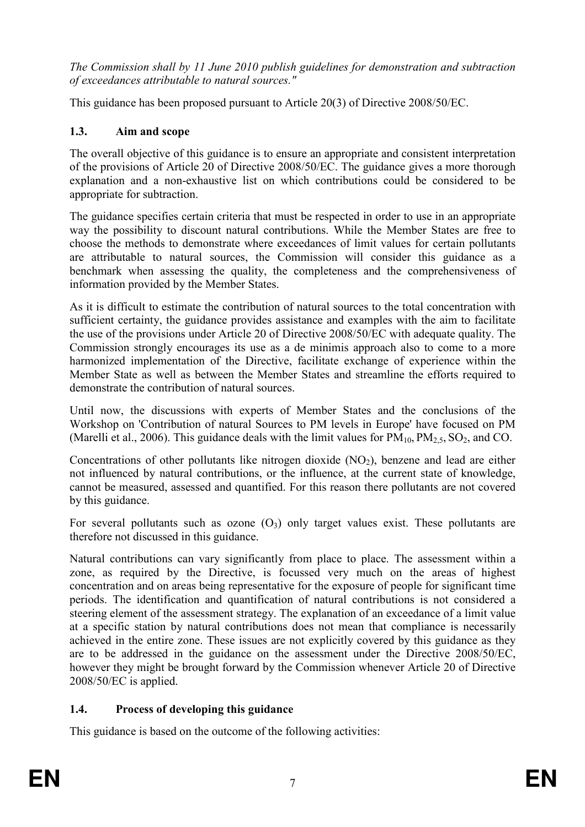The Commission shall by 11 June 2010 publish guidelines for demonstration and subtraction of exceedances attributable to natural sources."

This guidance has been proposed pursuant to Article 20(3) of Directive 2008/50/EC.

# 1.3. Aim and scope

The overall objective of this guidance is to ensure an appropriate and consistent interpretation of the provisions of Article 20 of Directive 2008/50/EC. The guidance gives a more thorough explanation and a non-exhaustive list on which contributions could be considered to be appropriate for subtraction.

The guidance specifies certain criteria that must be respected in order to use in an appropriate way the possibility to discount natural contributions. While the Member States are free to choose the methods to demonstrate where exceedances of limit values for certain pollutants are attributable to natural sources, the Commission will consider this guidance as a benchmark when assessing the quality, the completeness and the comprehensiveness of information provided by the Member States.

As it is difficult to estimate the contribution of natural sources to the total concentration with sufficient certainty, the guidance provides assistance and examples with the aim to facilitate the use of the provisions under Article 20 of Directive 2008/50/EC with adequate quality. The Commission strongly encourages its use as a de minimis approach also to come to a more harmonized implementation of the Directive, facilitate exchange of experience within the Member State as well as between the Member States and streamline the efforts required to demonstrate the contribution of natural sources.

Until now, the discussions with experts of Member States and the conclusions of the Workshop on 'Contribution of natural Sources to PM levels in Europe' have focused on PM (Marelli et al., 2006). This guidance deals with the limit values for  $PM_{10}$ ,  $PM_{2.5}$ ,  $SO_2$ , and CO.

Concentrations of other pollutants like nitrogen dioxide  $(NO<sub>2</sub>)$ , benzene and lead are either not influenced by natural contributions, or the influence, at the current state of knowledge, cannot be measured, assessed and quantified. For this reason there pollutants are not covered by this guidance.

For several pollutants such as ozone  $(O_3)$  only target values exist. These pollutants are therefore not discussed in this guidance.

Natural contributions can vary significantly from place to place. The assessment within a zone, as required by the Directive, is focussed very much on the areas of highest concentration and on areas being representative for the exposure of people for significant time periods. The identification and quantification of natural contributions is not considered a steering element of the assessment strategy. The explanation of an exceedance of a limit value at a specific station by natural contributions does not mean that compliance is necessarily achieved in the entire zone. These issues are not explicitly covered by this guidance as they are to be addressed in the guidance on the assessment under the Directive 2008/50/EC, however they might be brought forward by the Commission whenever Article 20 of Directive 2008/50/EC is applied.

# 1.4. Process of developing this guidance

This guidance is based on the outcome of the following activities: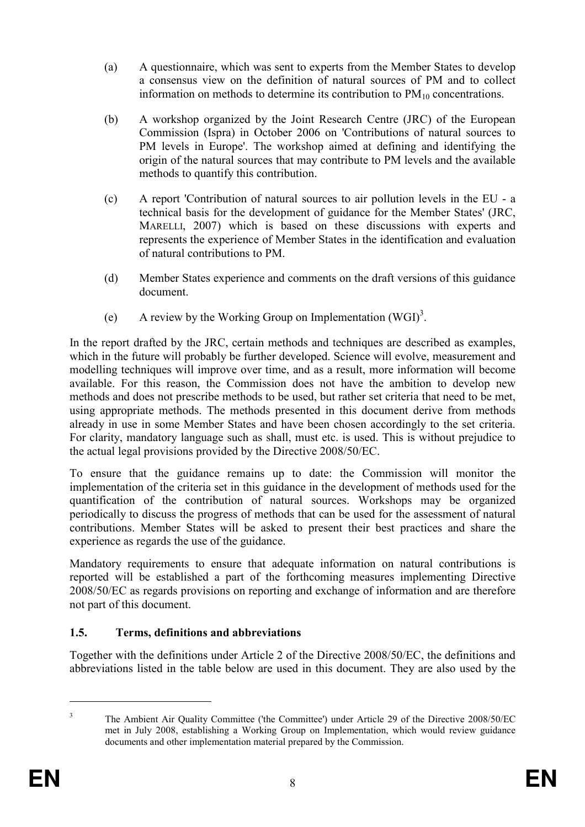- (a) A questionnaire, which was sent to experts from the Member States to develop a consensus view on the definition of natural sources of PM and to collect information on methods to determine its contribution to  $PM_{10}$  concentrations.
- (b) A workshop organized by the Joint Research Centre (JRC) of the European Commission (Ispra) in October 2006 on 'Contributions of natural sources to PM levels in Europe'. The workshop aimed at defining and identifying the origin of the natural sources that may contribute to PM levels and the available methods to quantify this contribution.
- (c) A report 'Contribution of natural sources to air pollution levels in the EU a technical basis for the development of guidance for the Member States' (JRC, MARELLI, 2007) which is based on these discussions with experts and represents the experience of Member States in the identification and evaluation of natural contributions to PM.
- (d) Member States experience and comments on the draft versions of this guidance document.
- (e) A review by the Working Group on Implementation  $(WGI)^3$ .

In the report drafted by the JRC, certain methods and techniques are described as examples, which in the future will probably be further developed. Science will evolve, measurement and modelling techniques will improve over time, and as a result, more information will become available. For this reason, the Commission does not have the ambition to develop new methods and does not prescribe methods to be used, but rather set criteria that need to be met, using appropriate methods. The methods presented in this document derive from methods already in use in some Member States and have been chosen accordingly to the set criteria. For clarity, mandatory language such as shall, must etc. is used. This is without prejudice to the actual legal provisions provided by the Directive 2008/50/EC.

To ensure that the guidance remains up to date: the Commission will monitor the implementation of the criteria set in this guidance in the development of methods used for the quantification of the contribution of natural sources. Workshops may be organized periodically to discuss the progress of methods that can be used for the assessment of natural contributions. Member States will be asked to present their best practices and share the experience as regards the use of the guidance.

Mandatory requirements to ensure that adequate information on natural contributions is reported will be established a part of the forthcoming measures implementing Directive 2008/50/EC as regards provisions on reporting and exchange of information and are therefore not part of this document.

# 1.5. Terms, definitions and abbreviations

Together with the definitions under Article 2 of the Directive 2008/50/EC, the definitions and abbreviations listed in the table below are used in this document. They are also used by the

 $\overline{a}$ 3

The Ambient Air Quality Committee ('the Committee') under Article 29 of the Directive 2008/50/EC met in July 2008, establishing a Working Group on Implementation, which would review guidance documents and other implementation material prepared by the Commission.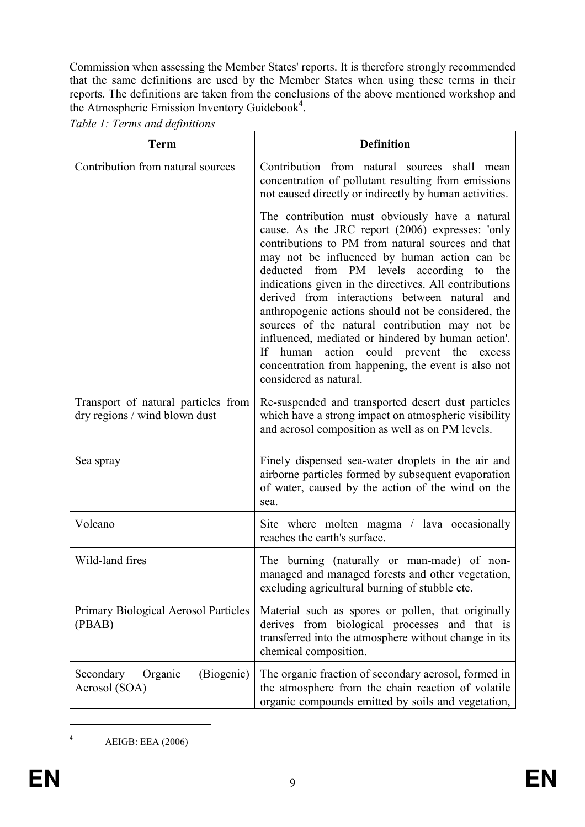Commission when assessing the Member States' reports. It is therefore strongly recommended that the same definitions are used by the Member States when using these terms in their reports. The definitions are taken from the conclusions of the above mentioned workshop and the Atmospheric Emission Inventory Guidebook<sup>4</sup>.

Table 1: Terms and definitions

| <b>Term</b>                                                          | <b>Definition</b>                                                                                                                                                                                                                                                                                                                                                                                                                                                                                                                                                                                                                                             |  |  |  |
|----------------------------------------------------------------------|---------------------------------------------------------------------------------------------------------------------------------------------------------------------------------------------------------------------------------------------------------------------------------------------------------------------------------------------------------------------------------------------------------------------------------------------------------------------------------------------------------------------------------------------------------------------------------------------------------------------------------------------------------------|--|--|--|
| Contribution from natural sources                                    | Contribution from natural sources shall mean<br>concentration of pollutant resulting from emissions<br>not caused directly or indirectly by human activities.                                                                                                                                                                                                                                                                                                                                                                                                                                                                                                 |  |  |  |
|                                                                      | The contribution must obviously have a natural<br>cause. As the JRC report (2006) expresses: 'only<br>contributions to PM from natural sources and that<br>may not be influenced by human action can be<br>deducted from PM levels according to<br>the<br>indications given in the directives. All contributions<br>derived from interactions between natural and<br>anthropogenic actions should not be considered, the<br>sources of the natural contribution may not be<br>influenced, mediated or hindered by human action'.<br>If human action could prevent the excess<br>concentration from happening, the event is also not<br>considered as natural. |  |  |  |
| Transport of natural particles from<br>dry regions / wind blown dust | Re-suspended and transported desert dust particles<br>which have a strong impact on atmospheric visibility<br>and aerosol composition as well as on PM levels.                                                                                                                                                                                                                                                                                                                                                                                                                                                                                                |  |  |  |
| Sea spray                                                            | Finely dispensed sea-water droplets in the air and<br>airborne particles formed by subsequent evaporation<br>of water, caused by the action of the wind on the<br>sea.                                                                                                                                                                                                                                                                                                                                                                                                                                                                                        |  |  |  |
| Volcano                                                              | Site where molten magma / lava occasionally<br>reaches the earth's surface.                                                                                                                                                                                                                                                                                                                                                                                                                                                                                                                                                                                   |  |  |  |
| Wild-land fires                                                      | The burning (naturally or man-made) of non-<br>managed and managed forests and other vegetation,<br>excluding agricultural burning of stubble etc.                                                                                                                                                                                                                                                                                                                                                                                                                                                                                                            |  |  |  |
| Primary Biological Aerosol Particles<br>(PBAB)                       | Material such as spores or pollen, that originally<br>derives from biological processes and that is<br>transferred into the atmosphere without change in its<br>chemical composition.                                                                                                                                                                                                                                                                                                                                                                                                                                                                         |  |  |  |
| (Biogenic)<br>Secondary<br>Organic<br>Aerosol (SOA)                  | The organic fraction of secondary aerosol, formed in<br>the atmosphere from the chain reaction of volatile<br>organic compounds emitted by soils and vegetation,                                                                                                                                                                                                                                                                                                                                                                                                                                                                                              |  |  |  |

<sup>4</sup> AEIGB: EEA (2006)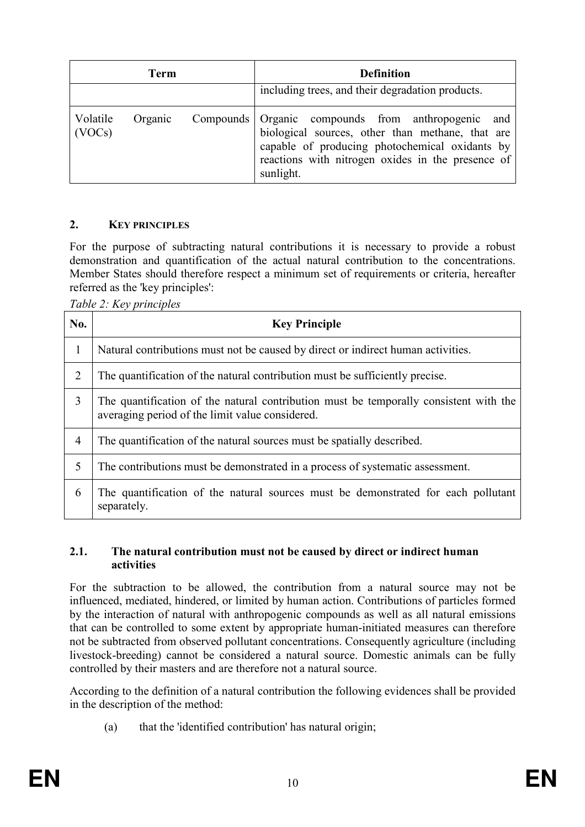| Term               |         |  | <b>Definition</b>                                                                                                                                                                                                          |  |  |
|--------------------|---------|--|----------------------------------------------------------------------------------------------------------------------------------------------------------------------------------------------------------------------------|--|--|
|                    |         |  | including trees, and their degradation products.                                                                                                                                                                           |  |  |
| Volatile<br>(VOCs) | Organic |  | Compounds Organic compounds from anthropogenic and<br>biological sources, other than methane, that are<br>capable of producing photochemical oxidants by<br>reactions with nitrogen oxides in the presence of<br>sunlight. |  |  |

### 2. KEY PRINCIPLES

For the purpose of subtracting natural contributions it is necessary to provide a robust demonstration and quantification of the actual natural contribution to the concentrations. Member States should therefore respect a minimum set of requirements or criteria, hereafter referred as the 'key principles':

Table 2: Key principles

| No.            | <b>Key Principle</b>                                                                                                                     |
|----------------|------------------------------------------------------------------------------------------------------------------------------------------|
| 1              | Natural contributions must not be caused by direct or indirect human activities.                                                         |
| 2              | The quantification of the natural contribution must be sufficiently precise.                                                             |
| 3              | The quantification of the natural contribution must be temporally consistent with the<br>averaging period of the limit value considered. |
| $\overline{4}$ | The quantification of the natural sources must be spatially described.                                                                   |
| 5              | The contributions must be demonstrated in a process of systematic assessment.                                                            |
| 6              | The quantification of the natural sources must be demonstrated for each pollutant<br>separately.                                         |

#### 2.1. The natural contribution must not be caused by direct or indirect human activities

For the subtraction to be allowed, the contribution from a natural source may not be influenced, mediated, hindered, or limited by human action. Contributions of particles formed by the interaction of natural with anthropogenic compounds as well as all natural emissions that can be controlled to some extent by appropriate human-initiated measures can therefore not be subtracted from observed pollutant concentrations. Consequently agriculture (including livestock-breeding) cannot be considered a natural source. Domestic animals can be fully controlled by their masters and are therefore not a natural source.

According to the definition of a natural contribution the following evidences shall be provided in the description of the method:

(a) that the 'identified contribution' has natural origin;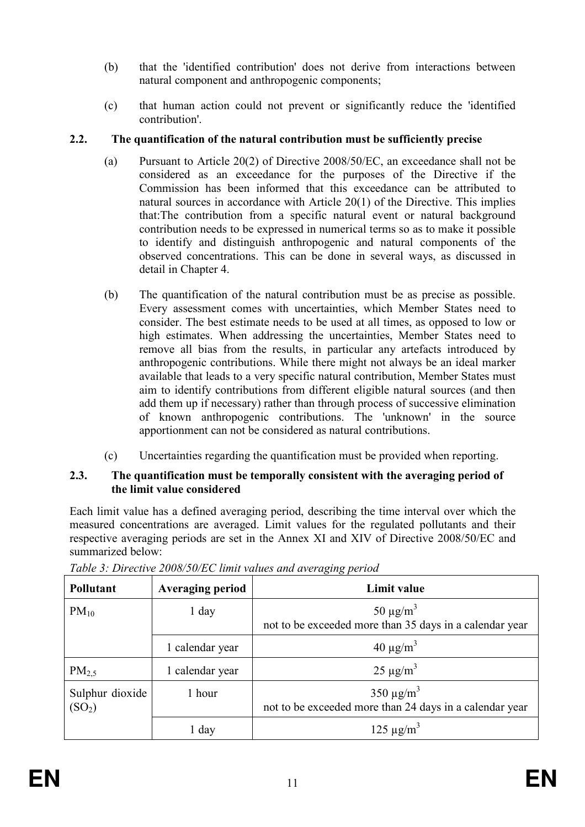- (b) that the 'identified contribution' does not derive from interactions between natural component and anthropogenic components;
- (c) that human action could not prevent or significantly reduce the 'identified contribution'.

# 2.2. The quantification of the natural contribution must be sufficiently precise

- (a) Pursuant to Article 20(2) of Directive 2008/50/EC, an exceedance shall not be considered as an exceedance for the purposes of the Directive if the Commission has been informed that this exceedance can be attributed to natural sources in accordance with Article 20(1) of the Directive. This implies that:The contribution from a specific natural event or natural background contribution needs to be expressed in numerical terms so as to make it possible to identify and distinguish anthropogenic and natural components of the observed concentrations. This can be done in several ways, as discussed in detail in Chapter 4.
- (b) The quantification of the natural contribution must be as precise as possible. Every assessment comes with uncertainties, which Member States need to consider. The best estimate needs to be used at all times, as opposed to low or high estimates. When addressing the uncertainties, Member States need to remove all bias from the results, in particular any artefacts introduced by anthropogenic contributions. While there might not always be an ideal marker available that leads to a very specific natural contribution, Member States must aim to identify contributions from different eligible natural sources (and then add them up if necessary) rather than through process of successive elimination of known anthropogenic contributions. The 'unknown' in the source apportionment can not be considered as natural contributions.
- (c) Uncertainties regarding the quantification must be provided when reporting.

#### 2.3. The quantification must be temporally consistent with the averaging period of the limit value considered

Each limit value has a defined averaging period, describing the time interval over which the measured concentrations are averaged. Limit values for the regulated pollutants and their respective averaging periods are set in the Annex XI and XIV of Directive 2008/50/EC and summarized below:

| <b>Pollutant</b>                                | <b>Averaging period</b> | Limit value                                                                           |  |  |
|-------------------------------------------------|-------------------------|---------------------------------------------------------------------------------------|--|--|
| $PM_{10}$                                       | $1$ day                 | $50 \mu g/m^3$<br>not to be exceeded more than 35 days in a calendar year             |  |  |
|                                                 | 1 calendar year         | $40 \mu g/m^3$                                                                        |  |  |
| $PM_{2.5}$                                      | 1 calendar year         | $25 \mu g/m^3$                                                                        |  |  |
| Sulphur dioxide<br>1 hour<br>(SO <sub>2</sub> ) |                         | 350 $\mu$ g/m <sup>3</sup><br>not to be exceeded more than 24 days in a calendar year |  |  |
|                                                 | 1 day                   | $125 \mu g/m^3$                                                                       |  |  |

Table 3: Directive 2008/50/EC limit values and averaging period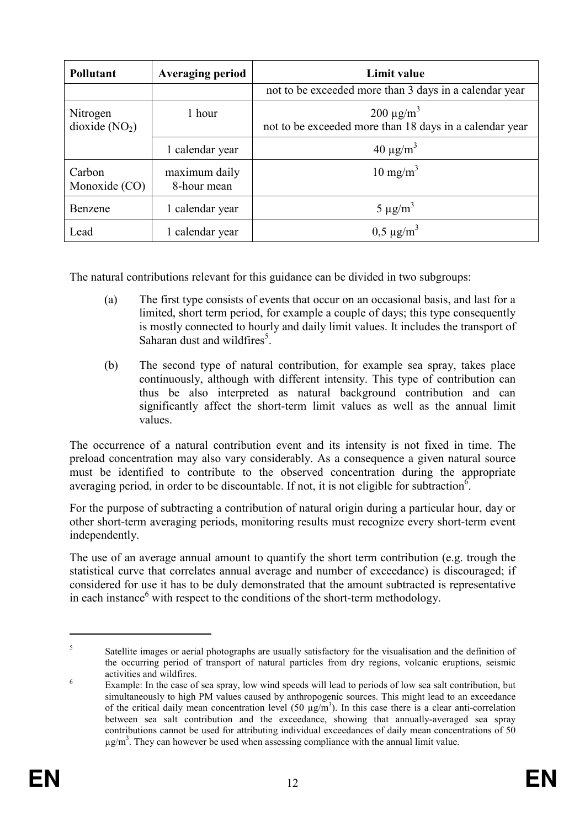| <b>Pollutant</b>            | <b>Averaging period</b>      | Limit value                                                                |  |  |
|-----------------------------|------------------------------|----------------------------------------------------------------------------|--|--|
|                             |                              | not to be exceeded more than 3 days in a calendar year                     |  |  |
| Nitrogen<br>dioxide $(NO2)$ | 1 hour                       | $200 \mu g/m^3$<br>not to be exceeded more than 18 days in a calendar year |  |  |
|                             | 1 calendar year              | $40 \mu g/m^3$                                                             |  |  |
| Carbon<br>Monoxide (CO)     | maximum daily<br>8-hour mean | $10 \text{ mg/m}^3$                                                        |  |  |
| Benzene                     | 1 calendar year              | $5 \mu g/m^3$                                                              |  |  |
| Lead                        | 1 calendar year              | $0,5 \mu g/m^3$                                                            |  |  |

The natural contributions relevant for this guidance can be divided in two subgroups:

- (a) The first type consists of events that occur on an occasional basis, and last for a limited, short term period, for example a couple of days; this type consequently is mostly connected to hourly and daily limit values. It includes the transport of Saharan dust and wildfires<sup>5</sup>.
- (b) The second type of natural contribution, for example sea spray, takes place continuously, although with different intensity. This type of contribution can thus be also interpreted as natural background contribution and can significantly affect the short-term limit values as well as the annual limit values.

The occurrence of a natural contribution event and its intensity is not fixed in time. The preload concentration may also vary considerably. As a consequence a given natural source must be identified to contribute to the observed concentration during the appropriate averaging period, in order to be discountable. If not, it is not eligible for subtraction<sup>6</sup>.

For the purpose of subtracting a contribution of natural origin during a particular hour, day or other short-term averaging periods, monitoring results must recognize every short-term event independently.

The use of an average annual amount to quantify the short term contribution (e.g. trough the statistical curve that correlates annual average and number of exceedance) is discouraged; if considered for use it has to be duly demonstrated that the amount subtracted is representative in each instance $<sup>6</sup>$  with respect to the conditions of the short-term methodology.</sup>

<sup>5</sup> Satellite images or aerial photographs are usually satisfactory for the visualisation and the definition of the occurring period of transport of natural particles from dry regions, volcanic eruptions, seismic activities and wildfires.

<sup>6</sup> Example: In the case of sea spray, low wind speeds will lead to periods of low sea salt contribution, but simultaneously to high PM values caused by anthropogenic sources. This might lead to an exceedance of the critical daily mean concentration level  $(50 \mu g/m<sup>3</sup>)$ . In this case there is a clear anti-correlation between sea salt contribution and the exceedance, showing that annually-averaged sea spray contributions cannot be used for attributing individual exceedances of daily mean concentrations of 50  $\mu$ g/m<sup>3</sup>. They can however be used when assessing compliance with the annual limit value.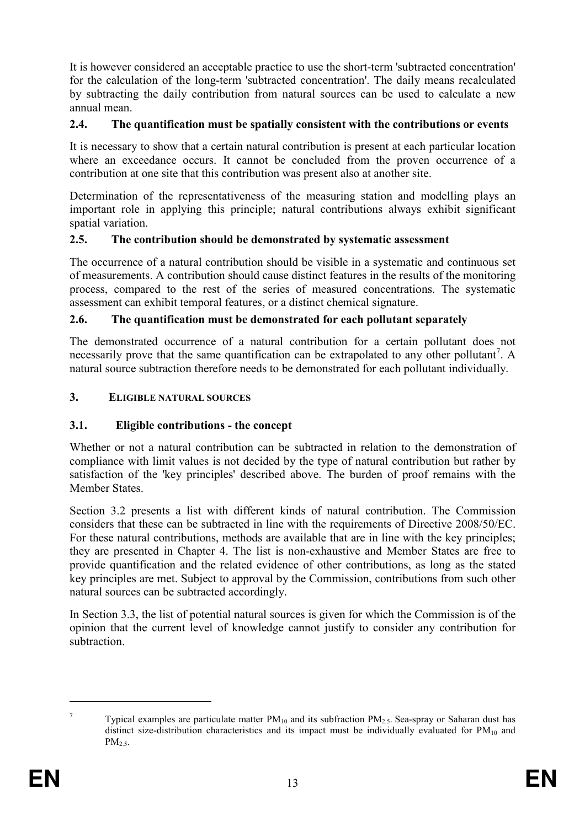It is however considered an acceptable practice to use the short-term 'subtracted concentration' for the calculation of the long-term 'subtracted concentration'. The daily means recalculated by subtracting the daily contribution from natural sources can be used to calculate a new annual mean.

#### 2.4. The quantification must be spatially consistent with the contributions or events

It is necessary to show that a certain natural contribution is present at each particular location where an exceedance occurs. It cannot be concluded from the proven occurrence of a contribution at one site that this contribution was present also at another site.

Determination of the representativeness of the measuring station and modelling plays an important role in applying this principle; natural contributions always exhibit significant spatial variation.

#### 2.5. The contribution should be demonstrated by systematic assessment

The occurrence of a natural contribution should be visible in a systematic and continuous set of measurements. A contribution should cause distinct features in the results of the monitoring process, compared to the rest of the series of measured concentrations. The systematic assessment can exhibit temporal features, or a distinct chemical signature.

### 2.6. The quantification must be demonstrated for each pollutant separately

The demonstrated occurrence of a natural contribution for a certain pollutant does not necessarily prove that the same quantification can be extrapolated to any other pollutant<sup>7</sup>. A natural source subtraction therefore needs to be demonstrated for each pollutant individually.

#### 3. ELIGIBLE NATURAL SOURCES

### 3.1. Eligible contributions - the concept

Whether or not a natural contribution can be subtracted in relation to the demonstration of compliance with limit values is not decided by the type of natural contribution but rather by satisfaction of the 'key principles' described above. The burden of proof remains with the Member States.

Section 3.2 presents a list with different kinds of natural contribution. The Commission considers that these can be subtracted in line with the requirements of Directive 2008/50/EC. For these natural contributions, methods are available that are in line with the key principles; they are presented in Chapter 4. The list is non-exhaustive and Member States are free to provide quantification and the related evidence of other contributions, as long as the stated key principles are met. Subject to approval by the Commission, contributions from such other natural sources can be subtracted accordingly.

In Section 3.3, the list of potential natural sources is given for which the Commission is of the opinion that the current level of knowledge cannot justify to consider any contribution for subtraction.

<sup>7</sup> Typical examples are particulate matter  $PM_{10}$  and its subfraction  $PM_{2.5}$ . Sea-spray or Saharan dust has distinct size-distribution characteristics and its impact must be individually evaluated for  $PM_{10}$  and  $PM<sub>2.5</sub>$ .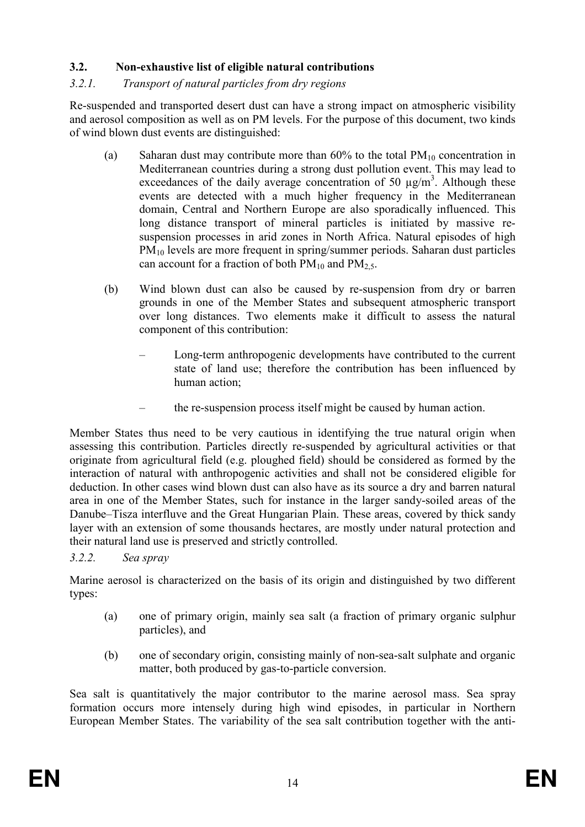# 3.2. Non-exhaustive list of eligible natural contributions

### 3.2.1. Transport of natural particles from dry regions

Re-suspended and transported desert dust can have a strong impact on atmospheric visibility and aerosol composition as well as on PM levels. For the purpose of this document, two kinds of wind blown dust events are distinguished:

- (a) Saharan dust may contribute more than  $60\%$  to the total  $PM_{10}$  concentration in Mediterranean countries during a strong dust pollution event. This may lead to exceedances of the daily average concentration of 50  $\mu$ g/m<sup>3</sup>. Although these events are detected with a much higher frequency in the Mediterranean domain, Central and Northern Europe are also sporadically influenced. This long distance transport of mineral particles is initiated by massive resuspension processes in arid zones in North Africa. Natural episodes of high PM10 levels are more frequent in spring/summer periods. Saharan dust particles can account for a fraction of both  $PM_{10}$  and  $PM_{2.5}$ .
- (b) Wind blown dust can also be caused by re-suspension from dry or barren grounds in one of the Member States and subsequent atmospheric transport over long distances. Two elements make it difficult to assess the natural component of this contribution:
	- Long-term anthropogenic developments have contributed to the current state of land use; therefore the contribution has been influenced by human action;
	- the re-suspension process itself might be caused by human action.

Member States thus need to be very cautious in identifying the true natural origin when assessing this contribution. Particles directly re-suspended by agricultural activities or that originate from agricultural field (e.g. ploughed field) should be considered as formed by the interaction of natural with anthropogenic activities and shall not be considered eligible for deduction. In other cases wind blown dust can also have as its source a dry and barren natural area in one of the Member States, such for instance in the larger sandy-soiled areas of the Danube–Tisza interfluve and the Great Hungarian Plain. These areas, covered by thick sandy layer with an extension of some thousands hectares, are mostly under natural protection and their natural land use is preserved and strictly controlled.

### 3.2.2. Sea spray

Marine aerosol is characterized on the basis of its origin and distinguished by two different types:

- (a) one of primary origin, mainly sea salt (a fraction of primary organic sulphur particles), and
- (b) one of secondary origin, consisting mainly of non-sea-salt sulphate and organic matter, both produced by gas-to-particle conversion.

Sea salt is quantitatively the major contributor to the marine aerosol mass. Sea spray formation occurs more intensely during high wind episodes, in particular in Northern European Member States. The variability of the sea salt contribution together with the anti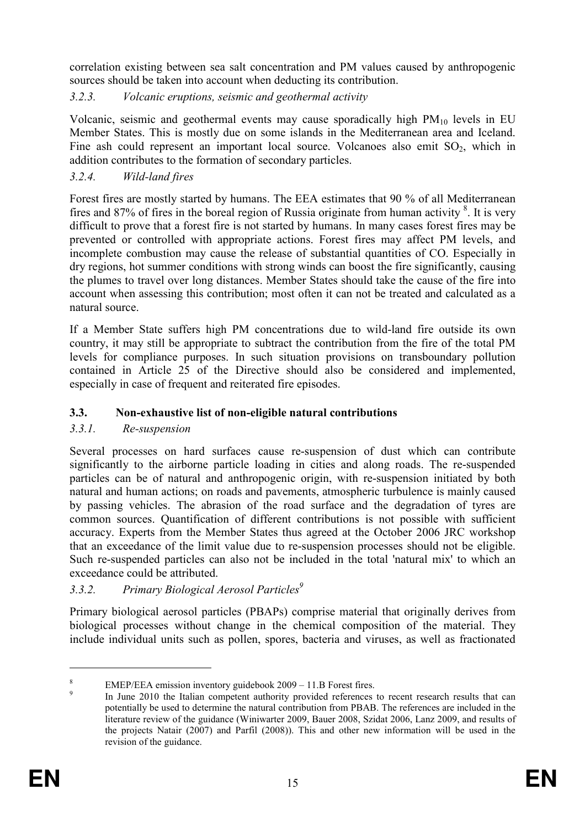correlation existing between sea salt concentration and PM values caused by anthropogenic sources should be taken into account when deducting its contribution.

# 3.2.3. Volcanic eruptions, seismic and geothermal activity

Volcanic, seismic and geothermal events may cause sporadically high  $PM_{10}$  levels in EU Member States. This is mostly due on some islands in the Mediterranean area and Iceland. Fine ash could represent an important local source. Volcanoes also emit  $SO_2$ , which in addition contributes to the formation of secondary particles.

# 3.2.4. Wild-land fires

Forest fires are mostly started by humans. The EEA estimates that 90 % of all Mediterranean fires and 87% of fires in the boreal region of Russia originate from human activity  $\frac{8}{3}$ . It is very difficult to prove that a forest fire is not started by humans. In many cases forest fires may be prevented or controlled with appropriate actions. Forest fires may affect PM levels, and incomplete combustion may cause the release of substantial quantities of CO. Especially in dry regions, hot summer conditions with strong winds can boost the fire significantly, causing the plumes to travel over long distances. Member States should take the cause of the fire into account when assessing this contribution; most often it can not be treated and calculated as a natural source.

If a Member State suffers high PM concentrations due to wild-land fire outside its own country, it may still be appropriate to subtract the contribution from the fire of the total PM levels for compliance purposes. In such situation provisions on transboundary pollution contained in Article 25 of the Directive should also be considered and implemented, especially in case of frequent and reiterated fire episodes.

# 3.3. Non-exhaustive list of non-eligible natural contributions

# 3.3.1. Re-suspension

Several processes on hard surfaces cause re-suspension of dust which can contribute significantly to the airborne particle loading in cities and along roads. The re-suspended particles can be of natural and anthropogenic origin, with re-suspension initiated by both natural and human actions; on roads and pavements, atmospheric turbulence is mainly caused by passing vehicles. The abrasion of the road surface and the degradation of tyres are common sources. Quantification of different contributions is not possible with sufficient accuracy. Experts from the Member States thus agreed at the October 2006 JRC workshop that an exceedance of the limit value due to re-suspension processes should not be eligible. Such re-suspended particles can also not be included in the total 'natural mix' to which an exceedance could be attributed.

# 3.3.2. Primary Biological Aerosol Particles<sup>9</sup>

Primary biological aerosol particles (PBAPs) comprise material that originally derives from biological processes without change in the chemical composition of the material. They include individual units such as pollen, spores, bacteria and viruses, as well as fractionated

<sup>8</sup> EMEP/EEA emission inventory guidebook 2009 – 11.B Forest fires.

<sup>9</sup> In June 2010 the Italian competent authority provided references to recent research results that can potentially be used to determine the natural contribution from PBAB. The references are included in the literature review of the guidance (Winiwarter 2009, Bauer 2008, Szidat 2006, Lanz 2009, and results of the projects Natair (2007) and Parfil (2008)). This and other new information will be used in the revision of the guidance.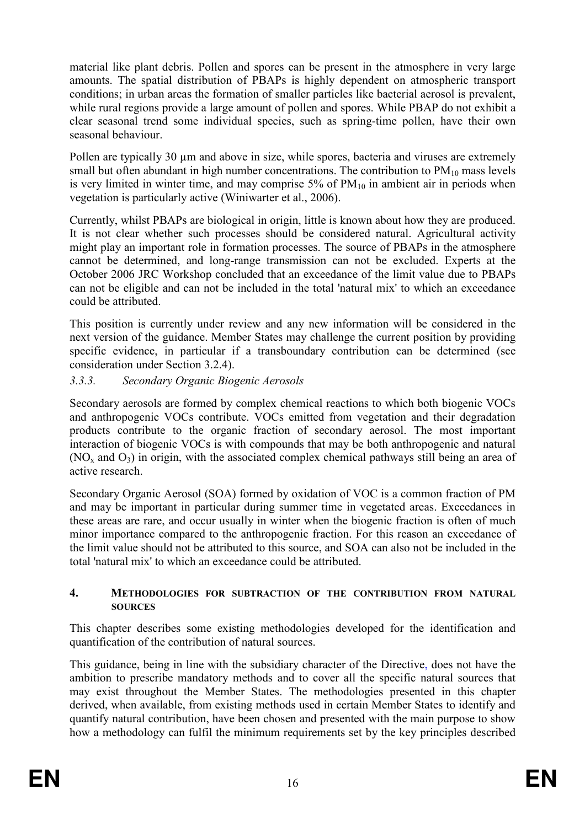material like plant debris. Pollen and spores can be present in the atmosphere in very large amounts. The spatial distribution of PBAPs is highly dependent on atmospheric transport conditions; in urban areas the formation of smaller particles like bacterial aerosol is prevalent, while rural regions provide a large amount of pollen and spores. While PBAP do not exhibit a clear seasonal trend some individual species, such as spring-time pollen, have their own seasonal behaviour.

Pollen are typically 30 um and above in size, while spores, bacteria and viruses are extremely small but often abundant in high number concentrations. The contribution to  $PM_{10}$  mass levels is very limited in winter time, and may comprise  $5\%$  of  $PM_{10}$  in ambient air in periods when vegetation is particularly active (Winiwarter et al., 2006).

Currently, whilst PBAPs are biological in origin, little is known about how they are produced. It is not clear whether such processes should be considered natural. Agricultural activity might play an important role in formation processes. The source of PBAPs in the atmosphere cannot be determined, and long-range transmission can not be excluded. Experts at the October 2006 JRC Workshop concluded that an exceedance of the limit value due to PBAPs can not be eligible and can not be included in the total 'natural mix' to which an exceedance could be attributed.

This position is currently under review and any new information will be considered in the next version of the guidance. Member States may challenge the current position by providing specific evidence, in particular if a transboundary contribution can be determined (see consideration under Section 3.2.4).

# 3.3.3. Secondary Organic Biogenic Aerosols

Secondary aerosols are formed by complex chemical reactions to which both biogenic VOCs and anthropogenic VOCs contribute. VOCs emitted from vegetation and their degradation products contribute to the organic fraction of secondary aerosol. The most important interaction of biogenic VOCs is with compounds that may be both anthropogenic and natural (NO<sub>x</sub> and O<sub>3</sub>) in origin, with the associated complex chemical pathways still being an area of active research.

Secondary Organic Aerosol (SOA) formed by oxidation of VOC is a common fraction of PM and may be important in particular during summer time in vegetated areas. Exceedances in these areas are rare, and occur usually in winter when the biogenic fraction is often of much minor importance compared to the anthropogenic fraction. For this reason an exceedance of the limit value should not be attributed to this source, and SOA can also not be included in the total 'natural mix' to which an exceedance could be attributed.

#### 4. METHODOLOGIES FOR SUBTRACTION OF THE CONTRIBUTION FROM NATURAL **SOURCES**

This chapter describes some existing methodologies developed for the identification and quantification of the contribution of natural sources.

This guidance, being in line with the subsidiary character of the Directive, does not have the ambition to prescribe mandatory methods and to cover all the specific natural sources that may exist throughout the Member States. The methodologies presented in this chapter derived, when available, from existing methods used in certain Member States to identify and quantify natural contribution, have been chosen and presented with the main purpose to show how a methodology can fulfil the minimum requirements set by the key principles described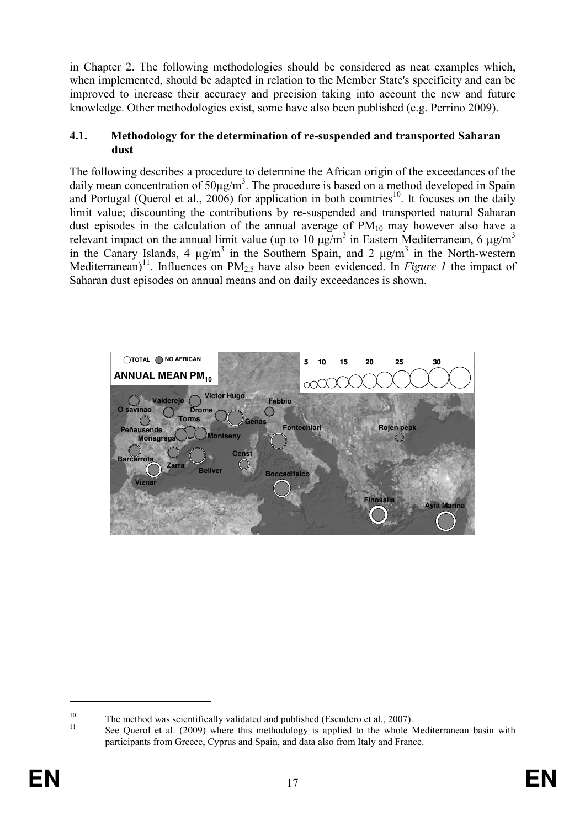in Chapter 2. The following methodologies should be considered as neat examples which, when implemented, should be adapted in relation to the Member State's specificity and can be improved to increase their accuracy and precision taking into account the new and future knowledge. Other methodologies exist, some have also been published (e.g. Perrino 2009).

#### 4.1. Methodology for the determination of re-suspended and transported Saharan dust

The following describes a procedure to determine the African origin of the exceedances of the daily mean concentration of  $50\mu\text{g/m}^3$ . The procedure is based on a method developed in Spain and Portugal (Querol et al., 2006) for application in both countries<sup>10</sup>. It focuses on the daily limit value; discounting the contributions by re-suspended and transported natural Saharan dust episodes in the calculation of the annual average of  $PM_{10}$  may however also have a relevant impact on the annual limit value (up to 10  $\mu$ g/m<sup>3</sup> in Eastern Mediterranean, 6  $\mu$ g/m<sup>3</sup> in the Canary Islands, 4  $\mu$ g/m<sup>3</sup> in the Southern Spain, and 2  $\mu$ g/m<sup>3</sup> in the North-western Mediterranean)<sup>11</sup>. Influences on  $PM_{2,5}$  have also been evidenced. In *Figure 1* the impact of Saharan dust episodes on annual means and on daily exceedances is shown.



<sup>&</sup>lt;sup>10</sup> The method was scientifically validated and published (Escudero et al., 2007).

See Querol et al. (2009) where this methodology is applied to the whole Mediterranean basin with participants from Greece, Cyprus and Spain, and data also from Italy and France.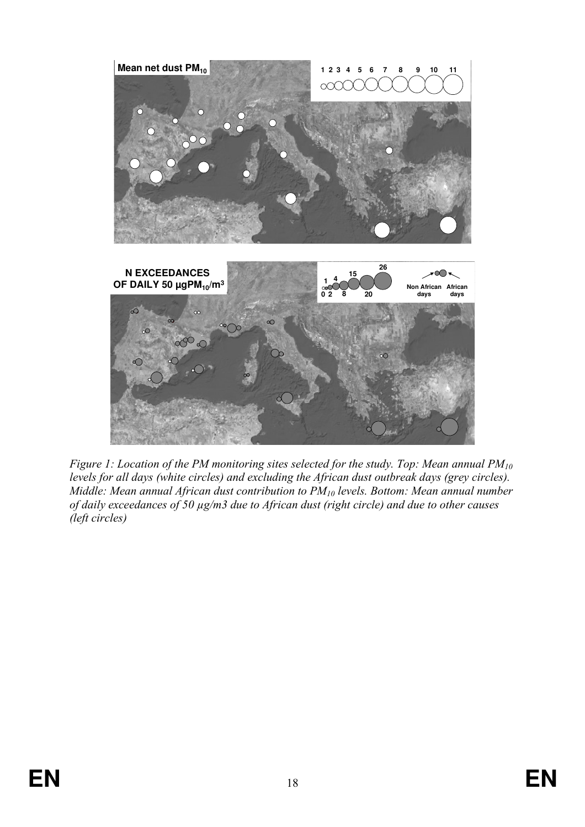

Figure 1: Location of the PM monitoring sites selected for the study. Top: Mean annual  $PM_{10}$ levels for all days (white circles) and excluding the African dust outbreak days (grey circles). Middle: Mean annual African dust contribution to  $PM_{10}$  levels. Bottom: Mean annual number of daily exceedances of 50 µg/m3 due to African dust (right circle) and due to other causes (left circles)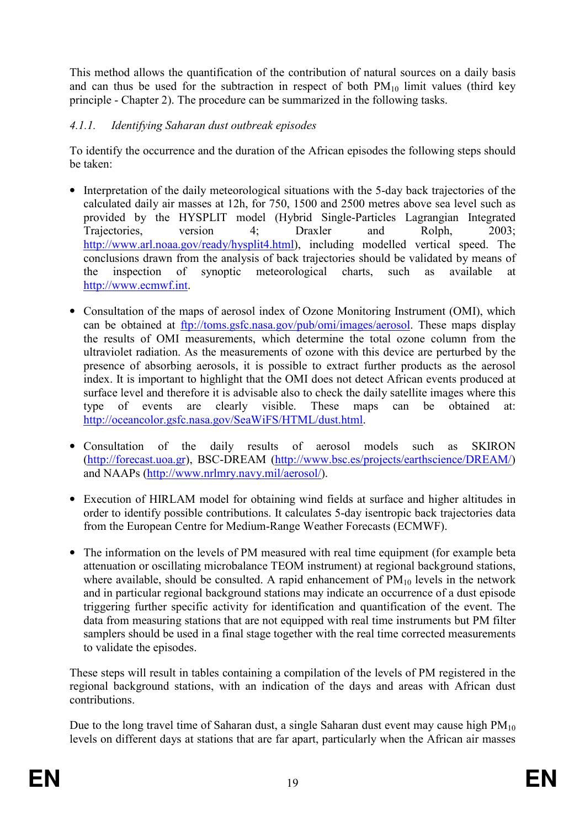This method allows the quantification of the contribution of natural sources on a daily basis and can thus be used for the subtraction in respect of both  $PM_{10}$  limit values (third key principle - Chapter 2). The procedure can be summarized in the following tasks.

# 4.1.1. Identifying Saharan dust outbreak episodes

To identify the occurrence and the duration of the African episodes the following steps should be taken:

- Interpretation of the daily meteorological situations with the 5-day back trajectories of the calculated daily air masses at 12h, for 750, 1500 and 2500 metres above sea level such as provided by the HYSPLIT model (Hybrid Single-Particles Lagrangian Integrated Trajectories, version 4; Draxler and Rolph, 2003; http://www.arl.noaa.gov/ready/hysplit4.html), including modelled vertical speed. The conclusions drawn from the analysis of back trajectories should be validated by means of the inspection of synoptic meteorological charts, such as available at http://www.ecmwf.int.
- Consultation of the maps of aerosol index of Ozone Monitoring Instrument (OMI), which can be obtained at <u>ftp://toms.gsfc.nasa.gov/pub/omi/images/aerosol</u>. These maps display the results of OMI measurements, which determine the total ozone column from the ultraviolet radiation. As the measurements of ozone with this device are perturbed by the presence of absorbing aerosols, it is possible to extract further products as the aerosol index. It is important to highlight that the OMI does not detect African events produced at surface level and therefore it is advisable also to check the daily satellite images where this type of events are clearly visible. These maps can be obtained at: http://oceancolor.gsfc.nasa.gov/SeaWiFS/HTML/dust.html.
- Consultation of the daily results of aerosol models such as SKIRON (http://forecast.uoa.gr), BSC-DREAM (http://www.bsc.es/projects/earthscience/DREAM/) and NAAPs (http://www.nrlmry.navy.mil/aerosol/).
- Execution of HIRLAM model for obtaining wind fields at surface and higher altitudes in order to identify possible contributions. It calculates 5-day isentropic back trajectories data from the European Centre for Medium-Range Weather Forecasts (ECMWF).
- The information on the levels of PM measured with real time equipment (for example beta attenuation or oscillating microbalance TEOM instrument) at regional background stations, where available, should be consulted. A rapid enhancement of  $PM_{10}$  levels in the network and in particular regional background stations may indicate an occurrence of a dust episode triggering further specific activity for identification and quantification of the event. The data from measuring stations that are not equipped with real time instruments but PM filter samplers should be used in a final stage together with the real time corrected measurements to validate the episodes.

These steps will result in tables containing a compilation of the levels of PM registered in the regional background stations, with an indication of the days and areas with African dust contributions.

Due to the long travel time of Saharan dust, a single Saharan dust event may cause high  $PM_{10}$ levels on different days at stations that are far apart, particularly when the African air masses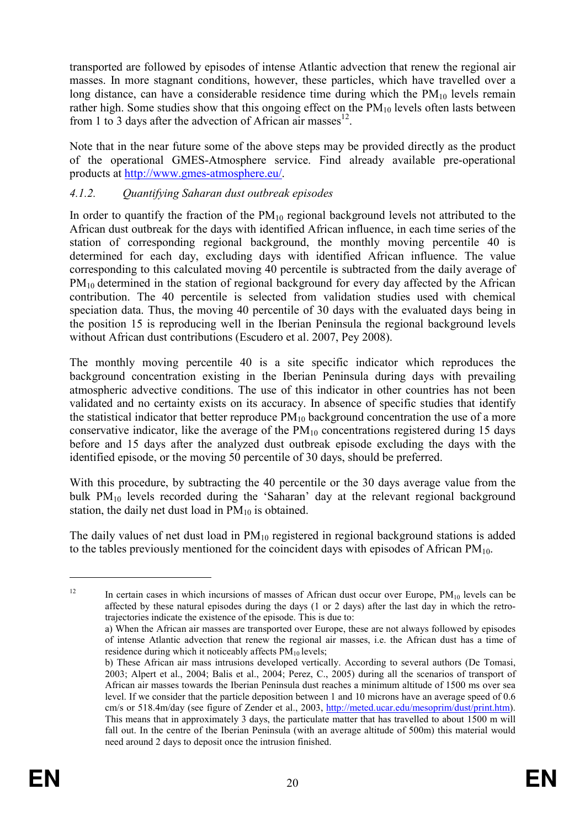transported are followed by episodes of intense Atlantic advection that renew the regional air masses. In more stagnant conditions, however, these particles, which have travelled over a long distance, can have a considerable residence time during which the  $PM_{10}$  levels remain rather high. Some studies show that this ongoing effect on the  $PM_{10}$  levels often lasts between from 1 to 3 days after the advection of African air masses $^{12}$ .

Note that in the near future some of the above steps may be provided directly as the product of the operational GMES-Atmosphere service. Find already available pre-operational products at http://www.gmes-atmosphere.eu/.

# 4.1.2. Quantifying Saharan dust outbreak episodes

In order to quantify the fraction of the  $PM_{10}$  regional background levels not attributed to the African dust outbreak for the days with identified African influence, in each time series of the station of corresponding regional background, the monthly moving percentile 40 is determined for each day, excluding days with identified African influence. The value corresponding to this calculated moving 40 percentile is subtracted from the daily average of PM<sub>10</sub> determined in the station of regional background for every day affected by the African contribution. The 40 percentile is selected from validation studies used with chemical speciation data. Thus, the moving 40 percentile of 30 days with the evaluated days being in the position 15 is reproducing well in the Iberian Peninsula the regional background levels without African dust contributions (Escudero et al. 2007, Pey 2008).

The monthly moving percentile 40 is a site specific indicator which reproduces the background concentration existing in the Iberian Peninsula during days with prevailing atmospheric advective conditions. The use of this indicator in other countries has not been validated and no certainty exists on its accuracy. In absence of specific studies that identify the statistical indicator that better reproduce  $PM_{10}$  background concentration the use of a more conservative indicator, like the average of the  $PM_{10}$  concentrations registered during 15 days before and 15 days after the analyzed dust outbreak episode excluding the days with the identified episode, or the moving 50 percentile of 30 days, should be preferred.

With this procedure, by subtracting the 40 percentile or the 30 days average value from the bulk PM10 levels recorded during the 'Saharan' day at the relevant regional background station, the daily net dust load in  $PM_{10}$  is obtained.

The daily values of net dust load in  $PM_{10}$  registered in regional background stations is added to the tables previously mentioned for the coincident days with episodes of African  $PM_{10}$ .

<sup>&</sup>lt;sup>12</sup> In certain cases in which incursions of masses of African dust occur over Europe,  $PM_{10}$  levels can be affected by these natural episodes during the days (1 or 2 days) after the last day in which the retrotrajectories indicate the existence of the episode. This is due to:

a) When the African air masses are transported over Europe, these are not always followed by episodes of intense Atlantic advection that renew the regional air masses, i.e. the African dust has a time of residence during which it noticeably affects  $PM_{10}$  levels;

b) These African air mass intrusions developed vertically. According to several authors (De Tomasi, 2003; Alpert et al., 2004; Balis et al., 2004; Perez, C., 2005) during all the scenarios of transport of African air masses towards the Iberian Peninsula dust reaches a minimum altitude of 1500 ms over sea level. If we consider that the particle deposition between 1 and 10 microns have an average speed of 0.6 cm/s or 518.4m/day (see figure of Zender et al., 2003, http://meted.ucar.edu/mesoprim/dust/print.htm). This means that in approximately 3 days, the particulate matter that has travelled to about 1500 m will fall out. In the centre of the Iberian Peninsula (with an average altitude of 500m) this material would need around 2 days to deposit once the intrusion finished.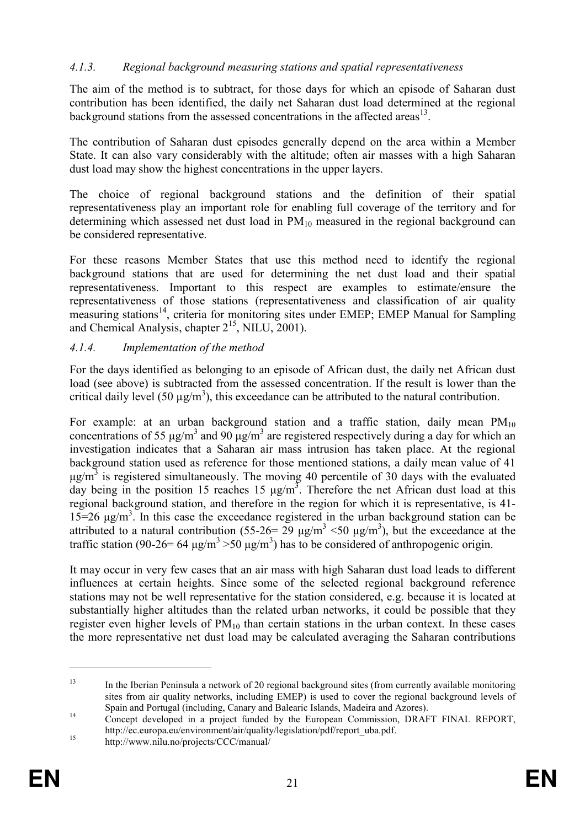# 4.1.3. Regional background measuring stations and spatial representativeness

The aim of the method is to subtract, for those days for which an episode of Saharan dust contribution has been identified, the daily net Saharan dust load determined at the regional background stations from the assessed concentrations in the affected areas $^{13}$ .

The contribution of Saharan dust episodes generally depend on the area within a Member State. It can also vary considerably with the altitude; often air masses with a high Saharan dust load may show the highest concentrations in the upper layers.

The choice of regional background stations and the definition of their spatial representativeness play an important role for enabling full coverage of the territory and for determining which assessed net dust load in  $PM_{10}$  measured in the regional background can be considered representative.

For these reasons Member States that use this method need to identify the regional background stations that are used for determining the net dust load and their spatial representativeness. Important to this respect are examples to estimate/ensure the representativeness of those stations (representativeness and classification of air quality measuring stations<sup>14</sup>, criteria for monitoring sites under EMEP; EMEP Manual for Sampling and Chemical Analysis, chapter  $2^{15}$ , NILU, 2001).

### 4.1.4. Implementation of the method

For the days identified as belonging to an episode of African dust, the daily net African dust load (see above) is subtracted from the assessed concentration. If the result is lower than the critical daily level (50  $\mu$ g/m<sup>3</sup>), this exceedance can be attributed to the natural contribution.

For example: at an urban background station and a traffic station, daily mean  $PM_{10}$ concentrations of 55  $\mu$ g/m<sup>3</sup> and 90  $\mu$ g/m<sup>3</sup> are registered respectively during a day for which an investigation indicates that a Saharan air mass intrusion has taken place. At the regional background station used as reference for those mentioned stations, a daily mean value of 41  $\mu$ g/m<sup>3</sup> is registered simultaneously. The moving 40 percentile of 30 days with the evaluated day being in the position 15 reaches 15  $\mu$ g/m<sup>3</sup>. Therefore the net African dust load at this regional background station, and therefore in the region for which it is representative, is 41-  $15=26 \text{ µg/m}^3$ . In this case the exceedance registered in the urban background station can be attributed to a natural contribution (55-26= 29  $\mu$ g/m<sup>3</sup> <50  $\mu$ g/m<sup>3</sup>), but the exceedance at the traffic station (90-26= 64  $\mu$ g/m<sup>3</sup> > 50  $\mu$ g/m<sup>3</sup>) has to be considered of anthropogenic origin.

It may occur in very few cases that an air mass with high Saharan dust load leads to different influences at certain heights. Since some of the selected regional background reference stations may not be well representative for the station considered, e.g. because it is located at substantially higher altitudes than the related urban networks, it could be possible that they register even higher levels of  $PM_{10}$  than certain stations in the urban context. In these cases the more representative net dust load may be calculated averaging the Saharan contributions

<sup>&</sup>lt;sup>13</sup> In the Iberian Peninsula a network of 20 regional background sites (from currently available monitoring sites from air quality networks, including EMEP) is used to cover the regional background levels of Spain and Portugal (including, Canary and Balearic Islands, Madeira and Azores).

<sup>&</sup>lt;sup>14</sup> Concept developed in a project funded by the European Commission, DRAFT FINAL REPORT, http://ec.europa.eu/environment/air/quality/legislation/pdf/report\_uba.pdf.

<sup>&</sup>lt;sup>15</sup> http://www.nilu.no/projects/CCC/manual/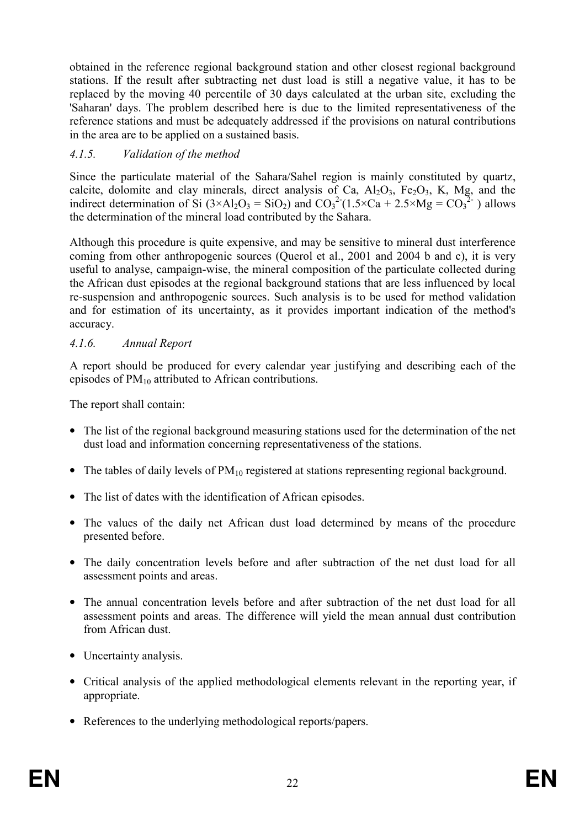obtained in the reference regional background station and other closest regional background stations. If the result after subtracting net dust load is still a negative value, it has to be replaced by the moving 40 percentile of 30 days calculated at the urban site, excluding the 'Saharan' days. The problem described here is due to the limited representativeness of the reference stations and must be adequately addressed if the provisions on natural contributions in the area are to be applied on a sustained basis.

# 4.1.5. Validation of the method

Since the particulate material of the Sahara/Sahel region is mainly constituted by quartz, calcite, dolomite and clay minerals, direct analysis of Ca,  $A<sub>1</sub>O<sub>3</sub>$ , Fe<sub>2</sub>O<sub>3</sub>, K, Mg, and the indirect determination of Si  $(3 \times Al_2O_3 = SiO_2)$  and  $CO_3^2(1.5 \times Ca + 2.5 \times Mg = CO_3^2)$  allows the determination of the mineral load contributed by the Sahara.

Although this procedure is quite expensive, and may be sensitive to mineral dust interference coming from other anthropogenic sources (Querol et al., 2001 and 2004 b and c), it is very useful to analyse, campaign-wise, the mineral composition of the particulate collected during the African dust episodes at the regional background stations that are less influenced by local re-suspension and anthropogenic sources. Such analysis is to be used for method validation and for estimation of its uncertainty, as it provides important indication of the method's accuracy.

# 4.1.6. Annual Report

A report should be produced for every calendar year justifying and describing each of the episodes of  $PM_{10}$  attributed to African contributions.

The report shall contain:

- The list of the regional background measuring stations used for the determination of the net dust load and information concerning representativeness of the stations.
- The tables of daily levels of  $PM_{10}$  registered at stations representing regional background.
- The list of dates with the identification of African episodes.
- The values of the daily net African dust load determined by means of the procedure presented before.
- The daily concentration levels before and after subtraction of the net dust load for all assessment points and areas.
- The annual concentration levels before and after subtraction of the net dust load for all assessment points and areas. The difference will yield the mean annual dust contribution from African dust.
- Uncertainty analysis.
- Critical analysis of the applied methodological elements relevant in the reporting year, if appropriate.
- References to the underlying methodological reports/papers.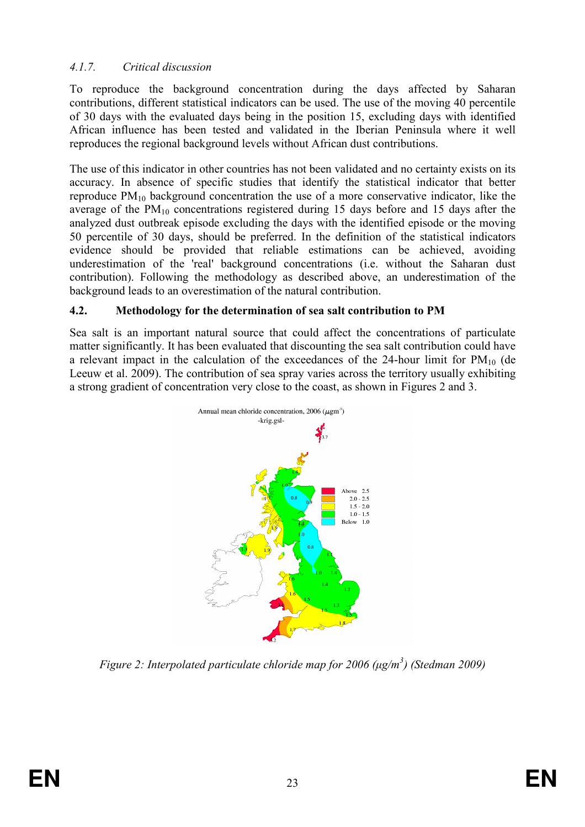# 4.1.7. Critical discussion

To reproduce the background concentration during the days affected by Saharan contributions, different statistical indicators can be used. The use of the moving 40 percentile of 30 days with the evaluated days being in the position 15, excluding days with identified African influence has been tested and validated in the Iberian Peninsula where it well reproduces the regional background levels without African dust contributions.

The use of this indicator in other countries has not been validated and no certainty exists on its accuracy. In absence of specific studies that identify the statistical indicator that better reproduce  $PM_{10}$  background concentration the use of a more conservative indicator, like the average of the  $PM_{10}$  concentrations registered during 15 days before and 15 days after the analyzed dust outbreak episode excluding the days with the identified episode or the moving 50 percentile of 30 days, should be preferred. In the definition of the statistical indicators evidence should be provided that reliable estimations can be achieved, avoiding underestimation of the 'real' background concentrations (i.e. without the Saharan dust contribution). Following the methodology as described above, an underestimation of the background leads to an overestimation of the natural contribution.

#### 4.2. Methodology for the determination of sea salt contribution to PM

Sea salt is an important natural source that could affect the concentrations of particulate matter significantly. It has been evaluated that discounting the sea salt contribution could have a relevant impact in the calculation of the exceedances of the 24-hour limit for  $PM_{10}$  (de Leeuw et al. 2009). The contribution of sea spray varies across the territory usually exhibiting a strong gradient of concentration very close to the coast, as shown in Figures 2 and 3.



Figure 2: Interpolated particulate chloride map for 2006 ( $\mu$ g/m<sup>3</sup>) (Stedman 2009)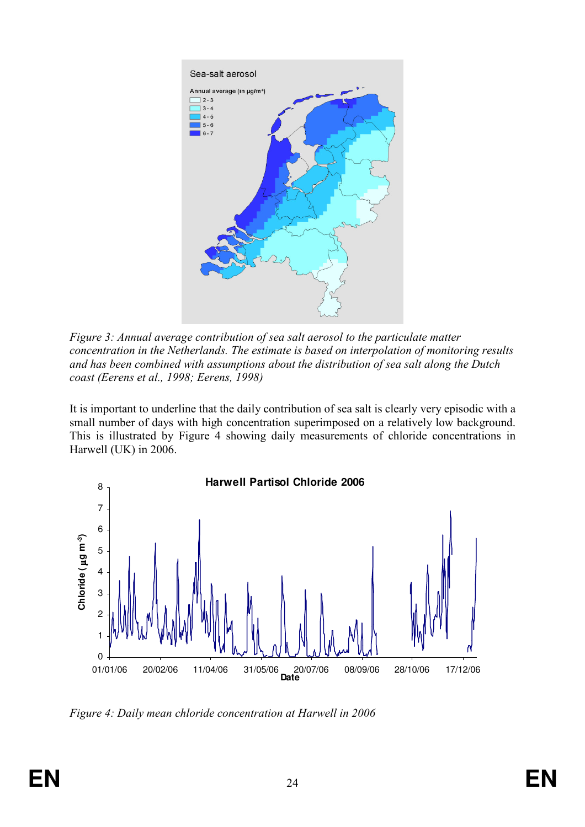

Figure 3: Annual average contribution of sea salt aerosol to the particulate matter concentration in the Netherlands. The estimate is based on interpolation of monitoring results and has been combined with assumptions about the distribution of sea salt along the Dutch coast (Eerens et al., 1998; Eerens, 1998)

It is important to underline that the daily contribution of sea salt is clearly very episodic with a small number of days with high concentration superimposed on a relatively low background. This is illustrated by Figure 4 showing daily measurements of chloride concentrations in Harwell (UK) in 2006.



Figure 4: Daily mean chloride concentration at Harwell in 2006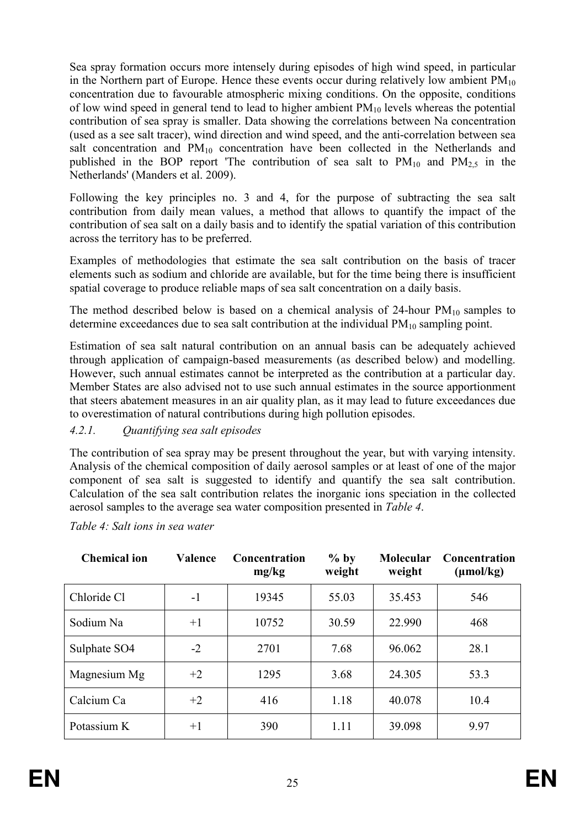Sea spray formation occurs more intensely during episodes of high wind speed, in particular in the Northern part of Europe. Hence these events occur during relatively low ambient  $PM_{10}$ concentration due to favourable atmospheric mixing conditions. On the opposite, conditions of low wind speed in general tend to lead to higher ambient  $PM_{10}$  levels whereas the potential contribution of sea spray is smaller. Data showing the correlations between Na concentration (used as a see salt tracer), wind direction and wind speed, and the anti-correlation between sea salt concentration and PM<sub>10</sub> concentration have been collected in the Netherlands and published in the BOP report 'The contribution of sea salt to  $PM_{10}$  and  $PM_{2,5}$  in the Netherlands' (Manders et al. 2009).

Following the key principles no. 3 and 4, for the purpose of subtracting the sea salt contribution from daily mean values, a method that allows to quantify the impact of the contribution of sea salt on a daily basis and to identify the spatial variation of this contribution across the territory has to be preferred.

Examples of methodologies that estimate the sea salt contribution on the basis of tracer elements such as sodium and chloride are available, but for the time being there is insufficient spatial coverage to produce reliable maps of sea salt concentration on a daily basis.

The method described below is based on a chemical analysis of  $24$ -hour  $PM_{10}$  samples to determine exceedances due to sea salt contribution at the individual  $PM_{10}$  sampling point.

Estimation of sea salt natural contribution on an annual basis can be adequately achieved through application of campaign-based measurements (as described below) and modelling. However, such annual estimates cannot be interpreted as the contribution at a particular day. Member States are also advised not to use such annual estimates in the source apportionment that steers abatement measures in an air quality plan, as it may lead to future exceedances due to overestimation of natural contributions during high pollution episodes.

# 4.2.1. Quantifying sea salt episodes

The contribution of sea spray may be present throughout the year, but with varying intensity. Analysis of the chemical composition of daily aerosol samples or at least of one of the major component of sea salt is suggested to identify and quantify the sea salt contribution. Calculation of the sea salt contribution relates the inorganic ions speciation in the collected aerosol samples to the average sea water composition presented in Table 4.

| <b>Chemical ion</b> | Valence | <b>Concentration</b><br>mg/kg | $%$ by<br>weight | <b>Molecular</b><br>weight | <b>Concentration</b><br>$(\mu mol/kg)$ |
|---------------------|---------|-------------------------------|------------------|----------------------------|----------------------------------------|
| Chloride Cl         | $-1$    | 19345                         | 55.03            | 35.453                     | 546                                    |
| Sodium Na           | $+1$    | 10752                         | 30.59            | 22.990                     | 468                                    |
| Sulphate SO4        | $-2$    | 2701                          | 7.68             | 96.062                     | 28.1                                   |
| Magnesium Mg        | $+2$    | 1295                          | 3.68             | 24.305                     | 53.3                                   |
| Calcium Ca          | $+2$    | 416                           | 1.18             | 40.078                     | 10.4                                   |
| Potassium K         | $+1$    | 390                           | 1.11             | 39.098                     | 9.97                                   |

Table 4: Salt ions in sea water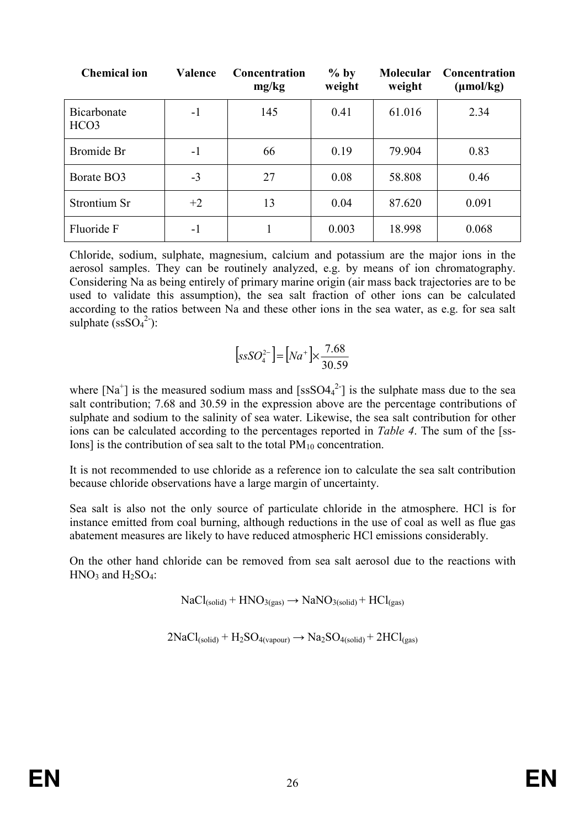| <b>Chemical ion</b>             | <b>Valence</b> | Concentration<br>mg/kg | $%$ by<br>weight | <b>Molecular</b><br>weight | <b>Concentration</b><br>$(\mu \text{mol/kg})$ |
|---------------------------------|----------------|------------------------|------------------|----------------------------|-----------------------------------------------|
| Bicarbonate<br>HCO <sub>3</sub> | $-1$           | 145                    | 0.41             | 61.016                     | 2.34                                          |
| Bromide Br                      | $-1$           | 66                     | 0.19             | 79.904                     | 0.83                                          |
| Borate BO3                      | $-3$           | 27                     | 0.08             | 58.808                     | 0.46                                          |
| Strontium Sr                    | $+2$           | 13                     | 0.04             | 87.620                     | 0.091                                         |
| Fluoride F                      | $-1$           |                        | 0.003            | 18.998                     | 0.068                                         |

Chloride, sodium, sulphate, magnesium, calcium and potassium are the major ions in the aerosol samples. They can be routinely analyzed, e.g. by means of ion chromatography. Considering Na as being entirely of primary marine origin (air mass back trajectories are to be used to validate this assumption), the sea salt fraction of other ions can be calculated according to the ratios between Na and these other ions in the sea water, as e.g. for sea salt sulphate  $(ssSO<sub>4</sub><sup>2</sup>)$ :

$$
[ssSO_4^{2-}]=[Na^+]\times \frac{7.68}{30.59}
$$

where  $[Na^+]$  is the measured sodium mass and  $[ssSO4_4^2]$  is the sulphate mass due to the sea salt contribution; 7.68 and 30.59 in the expression above are the percentage contributions of sulphate and sodium to the salinity of sea water. Likewise, the sea salt contribution for other ions can be calculated according to the percentages reported in *Table 4*. The sum of the [ss-Ions] is the contribution of sea salt to the total  $PM_{10}$  concentration.

It is not recommended to use chloride as a reference ion to calculate the sea salt contribution because chloride observations have a large margin of uncertainty.

Sea salt is also not the only source of particulate chloride in the atmosphere. HCl is for instance emitted from coal burning, although reductions in the use of coal as well as flue gas abatement measures are likely to have reduced atmospheric HCl emissions considerably.

On the other hand chloride can be removed from sea salt aerosol due to the reactions with  $HNO<sub>3</sub>$  and  $H<sub>2</sub>SO<sub>4</sub>$ :

 $NaCl<sub>(solid)</sub> + HNO<sub>3(gas)</sub> \rightarrow NaNO<sub>3(solid)</sub> + HCl<sub>(gas)</sub>$ 

 $2NaCl<sub>(solid)</sub> + H<sub>2</sub>SO<sub>4(vapour)</sub> \rightarrow Na<sub>2</sub>SO<sub>4(solid)</sub> + 2HCl<sub>(gas)</sub>$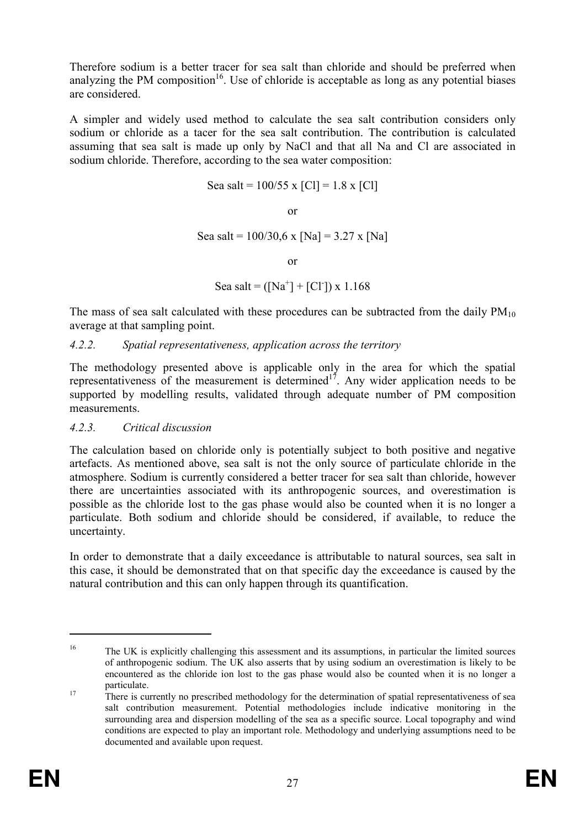Therefore sodium is a better tracer for sea salt than chloride and should be preferred when analyzing the PM composition<sup>16</sup>. Use of chloride is acceptable as long as any potential biases are considered.

A simpler and widely used method to calculate the sea salt contribution considers only sodium or chloride as a tacer for the sea salt contribution. The contribution is calculated assuming that sea salt is made up only by NaCl and that all Na and Cl are associated in sodium chloride. Therefore, according to the sea water composition:

$$
Sea salt = 100/55 x [Cl] = 1.8 x [Cl]
$$

or

Sea salt =  $100/30.6$  x [Na] = 3.27 x [Na]

or

```
Sea salt = ([Na<sup>+</sup>] + [Cl<sup>-</sup>]) x 1.168
```
The mass of sea salt calculated with these procedures can be subtracted from the daily  $PM_{10}$ average at that sampling point.

#### 4.2.2. Spatial representativeness, application across the territory

The methodology presented above is applicable only in the area for which the spatial representativeness of the measurement is determined<sup>17</sup>. Any wider application needs to be supported by modelling results, validated through adequate number of PM composition measurements.

#### 4.2.3. Critical discussion

The calculation based on chloride only is potentially subject to both positive and negative artefacts. As mentioned above, sea salt is not the only source of particulate chloride in the atmosphere. Sodium is currently considered a better tracer for sea salt than chloride, however there are uncertainties associated with its anthropogenic sources, and overestimation is possible as the chloride lost to the gas phase would also be counted when it is no longer a particulate. Both sodium and chloride should be considered, if available, to reduce the uncertainty.

In order to demonstrate that a daily exceedance is attributable to natural sources, sea salt in this case, it should be demonstrated that on that specific day the exceedance is caused by the natural contribution and this can only happen through its quantification.

<sup>&</sup>lt;sup>16</sup> The UK is explicitly challenging this assessment and its assumptions, in particular the limited sources of anthropogenic sodium. The UK also asserts that by using sodium an overestimation is likely to be encountered as the chloride ion lost to the gas phase would also be counted when it is no longer a particulate.

<sup>&</sup>lt;sup>17</sup> There is currently no prescribed methodology for the determination of spatial representativeness of sea salt contribution measurement. Potential methodologies include indicative monitoring in the surrounding area and dispersion modelling of the sea as a specific source. Local topography and wind conditions are expected to play an important role. Methodology and underlying assumptions need to be documented and available upon request.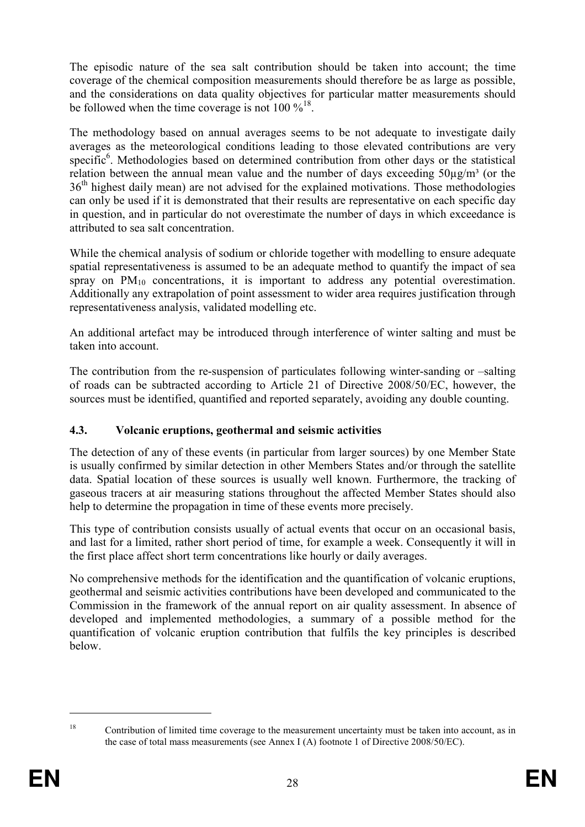The episodic nature of the sea salt contribution should be taken into account; the time coverage of the chemical composition measurements should therefore be as large as possible, and the considerations on data quality objectives for particular matter measurements should be followed when the time coverage is not  $100 \%$ <sup>18</sup>.

The methodology based on annual averages seems to be not adequate to investigate daily averages as the meteorological conditions leading to those elevated contributions are very specific<sup>6</sup>. Methodologies based on determined contribution from other days or the statistical relation between the annual mean value and the number of days exceeding  $50\mu\text{g/m}^3$  (or the 36<sup>th</sup> highest daily mean) are not advised for the explained motivations. Those methodologies can only be used if it is demonstrated that their results are representative on each specific day in question, and in particular do not overestimate the number of days in which exceedance is attributed to sea salt concentration.

While the chemical analysis of sodium or chloride together with modelling to ensure adequate spatial representativeness is assumed to be an adequate method to quantify the impact of sea spray on  $PM_{10}$  concentrations, it is important to address any potential overestimation. Additionally any extrapolation of point assessment to wider area requires justification through representativeness analysis, validated modelling etc.

An additional artefact may be introduced through interference of winter salting and must be taken into account.

The contribution from the re-suspension of particulates following winter-sanding or –salting of roads can be subtracted according to Article 21 of Directive 2008/50/EC, however, the sources must be identified, quantified and reported separately, avoiding any double counting.

# 4.3. Volcanic eruptions, geothermal and seismic activities

The detection of any of these events (in particular from larger sources) by one Member State is usually confirmed by similar detection in other Members States and/or through the satellite data. Spatial location of these sources is usually well known. Furthermore, the tracking of gaseous tracers at air measuring stations throughout the affected Member States should also help to determine the propagation in time of these events more precisely.

This type of contribution consists usually of actual events that occur on an occasional basis, and last for a limited, rather short period of time, for example a week. Consequently it will in the first place affect short term concentrations like hourly or daily averages.

No comprehensive methods for the identification and the quantification of volcanic eruptions, geothermal and seismic activities contributions have been developed and communicated to the Commission in the framework of the annual report on air quality assessment. In absence of developed and implemented methodologies, a summary of a possible method for the quantification of volcanic eruption contribution that fulfils the key principles is described below.

<sup>&</sup>lt;sup>18</sup> Contribution of limited time coverage to the measurement uncertainty must be taken into account, as in the case of total mass measurements (see Annex I (A) footnote 1 of Directive 2008/50/EC).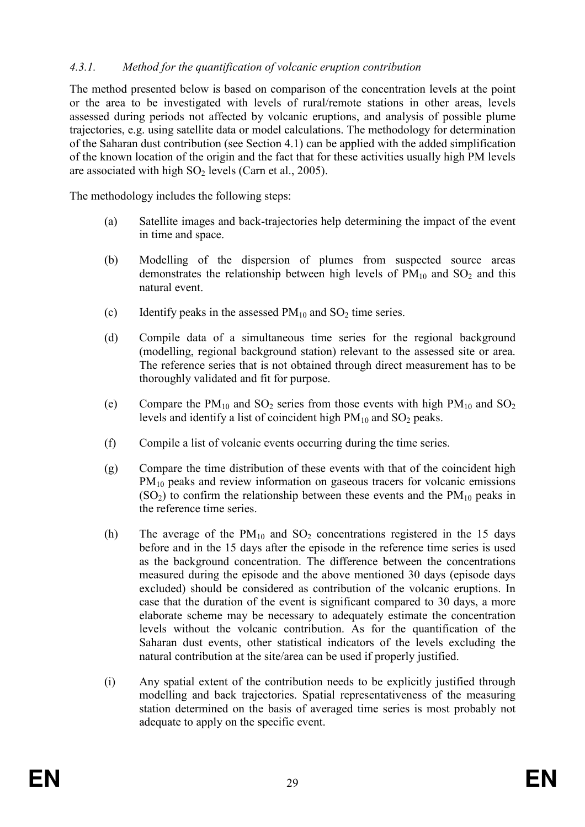### 4.3.1. Method for the quantification of volcanic eruption contribution

The method presented below is based on comparison of the concentration levels at the point or the area to be investigated with levels of rural/remote stations in other areas, levels assessed during periods not affected by volcanic eruptions, and analysis of possible plume trajectories, e.g. using satellite data or model calculations. The methodology for determination of the Saharan dust contribution (see Section 4.1) can be applied with the added simplification of the known location of the origin and the fact that for these activities usually high PM levels are associated with high  $SO_2$  levels (Carn et al., 2005).

The methodology includes the following steps:

- (a) Satellite images and back-trajectories help determining the impact of the event in time and space.
- (b) Modelling of the dispersion of plumes from suspected source areas demonstrates the relationship between high levels of  $PM_{10}$  and  $SO_2$  and this natural event.
- (c) Identify peaks in the assessed  $PM_{10}$  and  $SO_2$  time series.
- (d) Compile data of a simultaneous time series for the regional background (modelling, regional background station) relevant to the assessed site or area. The reference series that is not obtained through direct measurement has to be thoroughly validated and fit for purpose.
- (e) Compare the  $PM_{10}$  and  $SO_2$  series from those events with high  $PM_{10}$  and  $SO_2$ levels and identify a list of coincident high  $PM_{10}$  and  $SO_2$  peaks.
- (f) Compile a list of volcanic events occurring during the time series.
- (g) Compare the time distribution of these events with that of the coincident high PM<sub>10</sub> peaks and review information on gaseous tracers for volcanic emissions  $(SO<sub>2</sub>)$  to confirm the relationship between these events and the  $PM<sub>10</sub>$  peaks in the reference time series.
- (h) The average of the  $PM_{10}$  and  $SO_2$  concentrations registered in the 15 days before and in the 15 days after the episode in the reference time series is used as the background concentration. The difference between the concentrations measured during the episode and the above mentioned 30 days (episode days excluded) should be considered as contribution of the volcanic eruptions. In case that the duration of the event is significant compared to 30 days, a more elaborate scheme may be necessary to adequately estimate the concentration levels without the volcanic contribution. As for the quantification of the Saharan dust events, other statistical indicators of the levels excluding the natural contribution at the site/area can be used if properly justified.
- (i) Any spatial extent of the contribution needs to be explicitly justified through modelling and back trajectories. Spatial representativeness of the measuring station determined on the basis of averaged time series is most probably not adequate to apply on the specific event.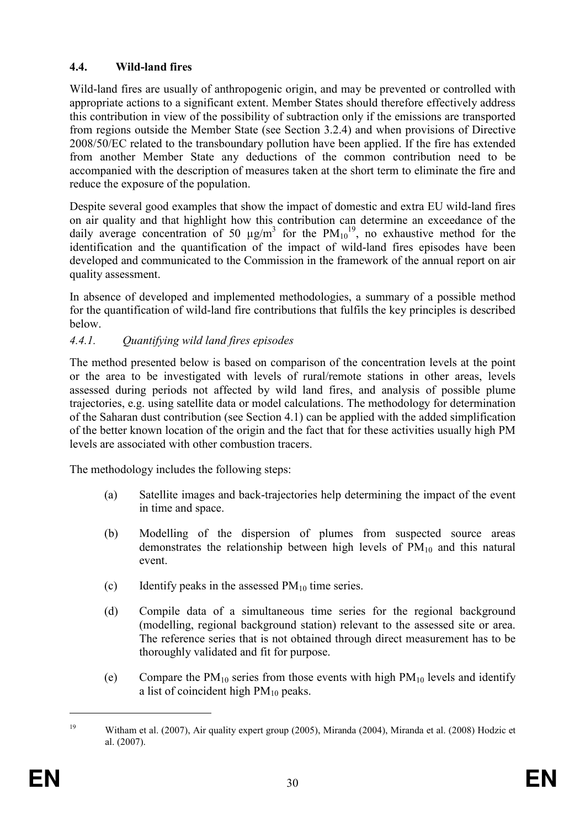# 4.4. Wild-land fires

Wild-land fires are usually of anthropogenic origin, and may be prevented or controlled with appropriate actions to a significant extent. Member States should therefore effectively address this contribution in view of the possibility of subtraction only if the emissions are transported from regions outside the Member State (see Section 3.2.4) and when provisions of Directive 2008/50/EC related to the transboundary pollution have been applied. If the fire has extended from another Member State any deductions of the common contribution need to be accompanied with the description of measures taken at the short term to eliminate the fire and reduce the exposure of the population.

Despite several good examples that show the impact of domestic and extra EU wild-land fires on air quality and that highlight how this contribution can determine an exceedance of the daily average concentration of 50  $\mu$ g/m<sup>3</sup> for the PM<sub>10</sub><sup>19</sup>, no exhaustive method for the identification and the quantification of the impact of wild-land fires episodes have been developed and communicated to the Commission in the framework of the annual report on air quality assessment.

In absence of developed and implemented methodologies, a summary of a possible method for the quantification of wild-land fire contributions that fulfils the key principles is described below.

# 4.4.1. Quantifying wild land fires episodes

The method presented below is based on comparison of the concentration levels at the point or the area to be investigated with levels of rural/remote stations in other areas, levels assessed during periods not affected by wild land fires, and analysis of possible plume trajectories, e.g. using satellite data or model calculations. The methodology for determination of the Saharan dust contribution (see Section 4.1) can be applied with the added simplification of the better known location of the origin and the fact that for these activities usually high PM levels are associated with other combustion tracers.

The methodology includes the following steps:

- (a) Satellite images and back-trajectories help determining the impact of the event in time and space.
- (b) Modelling of the dispersion of plumes from suspected source areas demonstrates the relationship between high levels of  $PM_{10}$  and this natural event.
- (c) Identify peaks in the assessed  $PM_{10}$  time series.
- (d) Compile data of a simultaneous time series for the regional background (modelling, regional background station) relevant to the assessed site or area. The reference series that is not obtained through direct measurement has to be thoroughly validated and fit for purpose.
- (e) Compare the  $PM_{10}$  series from those events with high  $PM_{10}$  levels and identify a list of coincident high  $PM_{10}$  peaks.

<sup>&</sup>lt;sup>19</sup> Witham et al. (2007), Air quality expert group (2005), Miranda (2004), Miranda et al. (2008) Hodzic et al. (2007).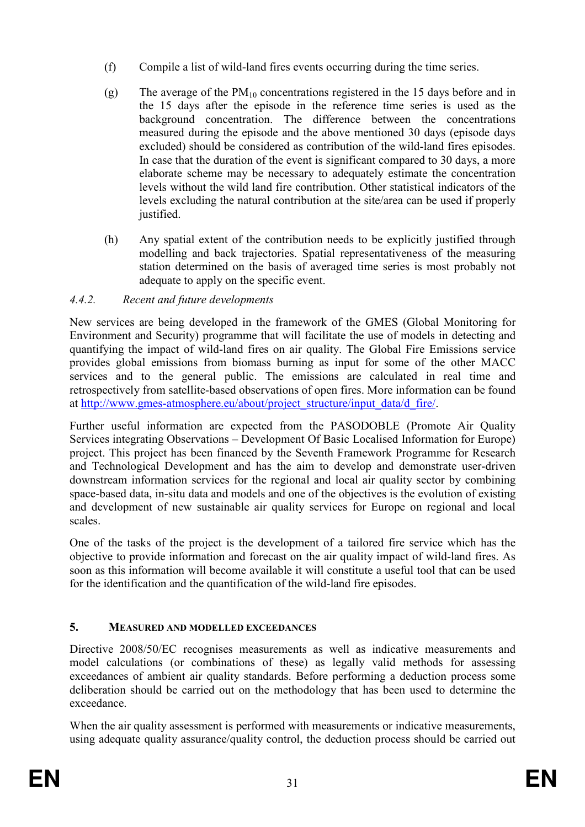- (f) Compile a list of wild-land fires events occurring during the time series.
- (g) The average of the  $PM_{10}$  concentrations registered in the 15 days before and in the 15 days after the episode in the reference time series is used as the background concentration. The difference between the concentrations measured during the episode and the above mentioned 30 days (episode days excluded) should be considered as contribution of the wild-land fires episodes. In case that the duration of the event is significant compared to 30 days, a more elaborate scheme may be necessary to adequately estimate the concentration levels without the wild land fire contribution. Other statistical indicators of the levels excluding the natural contribution at the site/area can be used if properly justified.
- (h) Any spatial extent of the contribution needs to be explicitly justified through modelling and back trajectories. Spatial representativeness of the measuring station determined on the basis of averaged time series is most probably not adequate to apply on the specific event.

# 4.4.2. Recent and future developments

New services are being developed in the framework of the GMES (Global Monitoring for Environment and Security) programme that will facilitate the use of models in detecting and quantifying the impact of wild-land fires on air quality. The Global Fire Emissions service provides global emissions from biomass burning as input for some of the other MACC services and to the general public. The emissions are calculated in real time and retrospectively from satellite-based observations of open fires. More information can be found at http://www.gmes-atmosphere.eu/about/project\_structure/input\_data/d\_fire/.

Further useful information are expected from the PASODOBLE (Promote Air Quality Services integrating Observations – Development Of Basic Localised Information for Europe) project. This project has been financed by the Seventh Framework Programme for Research and Technological Development and has the aim to develop and demonstrate user-driven downstream information services for the regional and local air quality sector by combining space-based data, in-situ data and models and one of the objectives is the evolution of existing and development of new sustainable air quality services for Europe on regional and local scales.

One of the tasks of the project is the development of a tailored fire service which has the objective to provide information and forecast on the air quality impact of wild-land fires. As soon as this information will become available it will constitute a useful tool that can be used for the identification and the quantification of the wild-land fire episodes.

# 5. MEASURED AND MODELLED EXCEEDANCES

Directive 2008/50/EC recognises measurements as well as indicative measurements and model calculations (or combinations of these) as legally valid methods for assessing exceedances of ambient air quality standards. Before performing a deduction process some deliberation should be carried out on the methodology that has been used to determine the exceedance.

When the air quality assessment is performed with measurements or indicative measurements, using adequate quality assurance/quality control, the deduction process should be carried out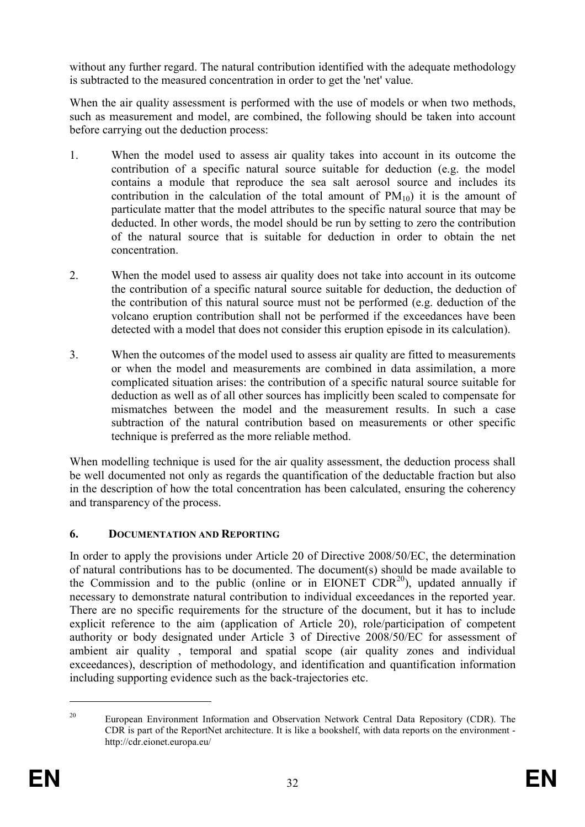without any further regard. The natural contribution identified with the adequate methodology is subtracted to the measured concentration in order to get the 'net' value.

When the air quality assessment is performed with the use of models or when two methods, such as measurement and model, are combined, the following should be taken into account before carrying out the deduction process:

- 1. When the model used to assess air quality takes into account in its outcome the contribution of a specific natural source suitable for deduction (e.g. the model contains a module that reproduce the sea salt aerosol source and includes its contribution in the calculation of the total amount of  $PM_{10}$ ) it is the amount of particulate matter that the model attributes to the specific natural source that may be deducted. In other words, the model should be run by setting to zero the contribution of the natural source that is suitable for deduction in order to obtain the net concentration.
- 2. When the model used to assess air quality does not take into account in its outcome the contribution of a specific natural source suitable for deduction, the deduction of the contribution of this natural source must not be performed (e.g. deduction of the volcano eruption contribution shall not be performed if the exceedances have been detected with a model that does not consider this eruption episode in its calculation).
- 3. When the outcomes of the model used to assess air quality are fitted to measurements or when the model and measurements are combined in data assimilation, a more complicated situation arises: the contribution of a specific natural source suitable for deduction as well as of all other sources has implicitly been scaled to compensate for mismatches between the model and the measurement results. In such a case subtraction of the natural contribution based on measurements or other specific technique is preferred as the more reliable method.

When modelling technique is used for the air quality assessment, the deduction process shall be well documented not only as regards the quantification of the deductable fraction but also in the description of how the total concentration has been calculated, ensuring the coherency and transparency of the process.

# 6. DOCUMENTATION AND REPORTING

In order to apply the provisions under Article 20 of Directive 2008/50/EC, the determination of natural contributions has to be documented. The document(s) should be made available to the Commission and to the public (online or in EIONET  $CDR^{20}$ ), updated annually if necessary to demonstrate natural contribution to individual exceedances in the reported year. There are no specific requirements for the structure of the document, but it has to include explicit reference to the aim (application of Article 20), role/participation of competent authority or body designated under Article 3 of Directive 2008/50/EC for assessment of ambient air quality , temporal and spatial scope (air quality zones and individual exceedances), description of methodology, and identification and quantification information including supporting evidence such as the back-trajectories etc.

<sup>&</sup>lt;sup>20</sup> European Environment Information and Observation Network Central Data Repository (CDR). The CDR is part of the ReportNet architecture. It is like a bookshelf, with data reports on the environment http://cdr.eionet.europa.eu/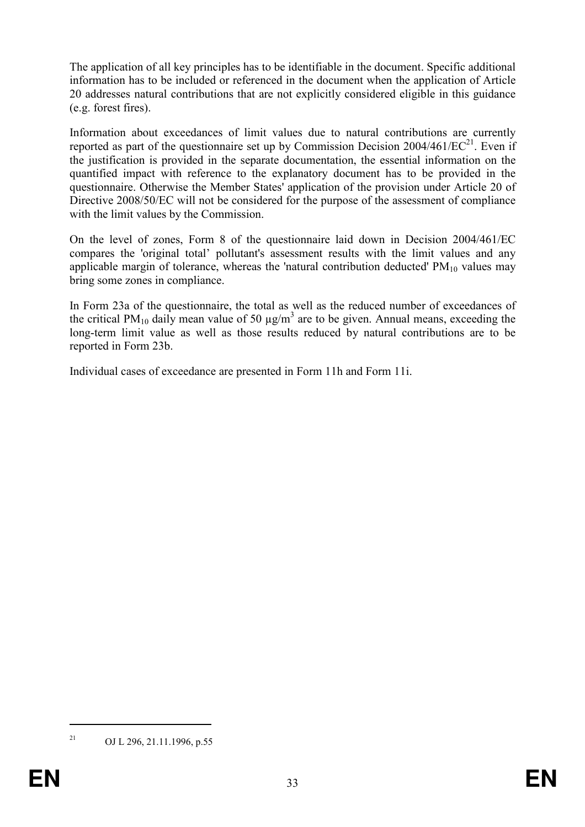The application of all key principles has to be identifiable in the document. Specific additional information has to be included or referenced in the document when the application of Article 20 addresses natural contributions that are not explicitly considered eligible in this guidance (e.g. forest fires).

Information about exceedances of limit values due to natural contributions are currently reported as part of the questionnaire set up by Commission Decision  $2004/461/EC^{21}$ . Even if the justification is provided in the separate documentation, the essential information on the quantified impact with reference to the explanatory document has to be provided in the questionnaire. Otherwise the Member States' application of the provision under Article 20 of Directive 2008/50/EC will not be considered for the purpose of the assessment of compliance with the limit values by the Commission.

On the level of zones, Form 8 of the questionnaire laid down in Decision 2004/461/EC compares the 'original total' pollutant's assessment results with the limit values and any applicable margin of tolerance, whereas the 'natural contribution deducted'  $PM_{10}$  values may bring some zones in compliance.

In Form 23a of the questionnaire, the total as well as the reduced number of exceedances of the critical PM<sub>10</sub> daily mean value of 50  $\mu$ g/m<sup>3</sup> are to be given. Annual means, exceeding the long-term limit value as well as those results reduced by natural contributions are to be reported in Form 23b.

Individual cases of exceedance are presented in Form 11h and Form 11i.

<sup>&</sup>lt;sup>21</sup> OJ L 296, 21.11.1996, p.55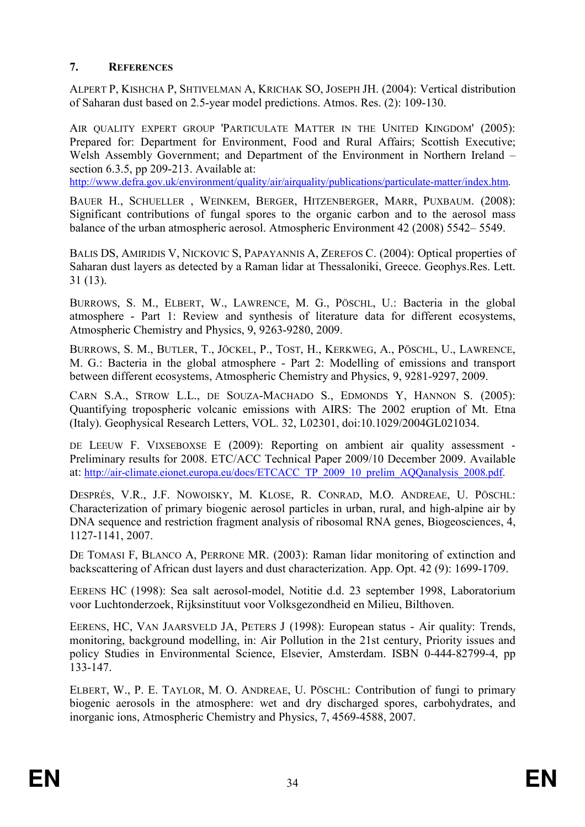# 7. REFERENCES

ALPERT P, KISHCHA P, SHTIVELMAN A, KRICHAK SO, JOSEPH JH. (2004): Vertical distribution of Saharan dust based on 2.5-year model predictions. Atmos. Res. (2): 109-130.

AIR OUALITY EXPERT GROUP 'PARTICULATE MATTER IN THE UNITED KINGDOM' (2005): Prepared for: Department for Environment, Food and Rural Affairs; Scottish Executive; Welsh Assembly Government; and Department of the Environment in Northern Ireland – section 6.3.5, pp 209-213. Available at:

http://www.defra.gov.uk/environment/quality/air/airquality/publications/particulate-matter/index.htm.

BAUER H., SCHUELLER , WEINKEM, BERGER, HITZENBERGER, MARR, PUXBAUM. (2008): Significant contributions of fungal spores to the organic carbon and to the aerosol mass balance of the urban atmospheric aerosol. Atmospheric Environment 42 (2008) 5542– 5549.

BALIS DS, AMIRIDIS V, NICKOVIC S, PAPAYANNIS A, ZEREFOS C. (2004): Optical properties of Saharan dust layers as detected by a Raman lidar at Thessaloniki, Greece. Geophys.Res. Lett. 31 (13).

BURROWS, S. M., ELBERT, W., LAWRENCE, M. G., PÖSCHL, U.: Bacteria in the global atmosphere - Part 1: Review and synthesis of literature data for different ecosystems, Atmospheric Chemistry and Physics, 9, 9263-9280, 2009.

BURROWS, S. M., BUTLER, T., JÖCKEL, P., TOST, H., KERKWEG, A., PÖSCHL, U., LAWRENCE, M. G.: Bacteria in the global atmosphere - Part 2: Modelling of emissions and transport between different ecosystems, Atmospheric Chemistry and Physics, 9, 9281-9297, 2009.

CARN S.A., STROW L.L., DE SOUZA-MACHADO S., EDMONDS Y, HANNON S. (2005): Quantifying tropospheric volcanic emissions with AIRS: The 2002 eruption of Mt. Etna (Italy). Geophysical Research Letters, VOL. 32, L02301, doi:10.1029/2004GL021034.

DE LEEUW F. VIXSEBOXSE E (2009): Reporting on ambient air quality assessment -Preliminary results for 2008. ETC/ACC Technical Paper 2009/10 December 2009. Available at: http://air-climate.eionet.europa.eu/docs/ETCACC\_TP\_2009\_10\_prelim\_AQQanalysis\_2008.pdf.

DESPRÉS, V.R., J.F. NOWOISKY, M. KLOSE, R. CONRAD, M.O. ANDREAE, U. PÖSCHL: Characterization of primary biogenic aerosol particles in urban, rural, and high-alpine air by DNA sequence and restriction fragment analysis of ribosomal RNA genes, Biogeosciences, 4, 1127-1141, 2007.

DE TOMASI F, BLANCO A, PERRONE MR. (2003): Raman lidar monitoring of extinction and backscattering of African dust layers and dust characterization. App. Opt. 42 (9): 1699-1709.

EERENS HC (1998): Sea salt aerosol-model, Notitie d.d. 23 september 1998, Laboratorium voor Luchtonderzoek, Rijksinstituut voor Volksgezondheid en Milieu, Bilthoven.

EERENS, HC, VAN JAARSVELD JA, PETERS J (1998): European status - Air quality: Trends, monitoring, background modelling, in: Air Pollution in the 21st century, Priority issues and policy Studies in Environmental Science, Elsevier, Amsterdam. ISBN 0-444-82799-4, pp 133-147.

ELBERT, W., P. E. TAYLOR, M. O. ANDREAE, U. PÖSCHL: Contribution of fungi to primary biogenic aerosols in the atmosphere: wet and dry discharged spores, carbohydrates, and inorganic ions, Atmospheric Chemistry and Physics, 7, 4569-4588, 2007.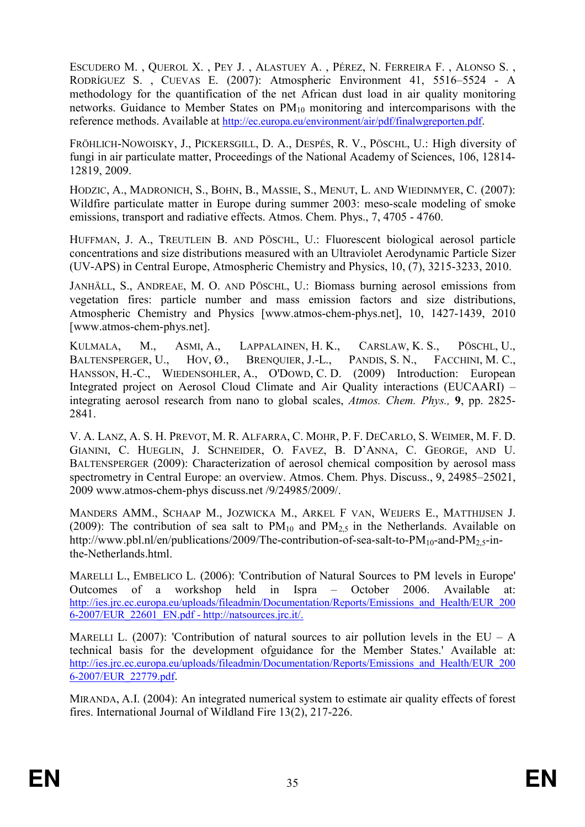ESCUDERO M. , QUEROL X. , PEY J. , ALASTUEY A. , PÉREZ, N. FERREIRA F. , ALONSO S. , RODRÍGUEZ S. , CUEVAS E. (2007): Atmospheric Environment 41, 5516–5524 - A methodology for the quantification of the net African dust load in air quality monitoring networks. Guidance to Member States on  $PM_{10}$  monitoring and intercomparisons with the reference methods. Available at http://ec.europa.eu/environment/air/pdf/finalwgreporten.pdf.

FRÖHLICH-NOWOISKY, J., PICKERSGILL, D. A., DESPÉS, R. V., PÖSCHL, U.: High diversity of fungi in air particulate matter, Proceedings of the National Academy of Sciences, 106, 12814- 12819, 2009.

HODZIC, A., MADRONICH, S., BOHN, B., MASSIE, S., MENUT, L. AND WIEDINMYER, C. (2007): Wildfire particulate matter in Europe during summer 2003: meso-scale modeling of smoke emissions, transport and radiative effects. Atmos. Chem. Phys., 7, 4705 - 4760.

HUFFMAN, J. A., TREUTLEIN B. AND PÖSCHL, U.: Fluorescent biological aerosol particle concentrations and size distributions measured with an Ultraviolet Aerodynamic Particle Sizer (UV-APS) in Central Europe, Atmospheric Chemistry and Physics, 10, (7), 3215-3233, 2010.

JANHÄLL, S., ANDREAE, M. O. AND PÖSCHL, U.: Biomass burning aerosol emissions from vegetation fires: particle number and mass emission factors and size distributions, Atmospheric Chemistry and Physics [www.atmos-chem-phys.net], 10, 1427-1439, 2010 [www.atmos-chem-phys.net].

KULMALA, M., ASMI, A., LAPPALAINEN, H. K., CARSLAW, K. S., PÖSCHL, U., BALTENSPERGER, U., HOV, Ø., BRENQUIER, J.-L., PANDIS, S. N., FACCHINI, M. C., HANSSON, H.-C., WIEDENSOHLER, A., O'DOWD, C. D. (2009) Introduction: European Integrated project on Aerosol Cloud Climate and Air Quality interactions (EUCAARI) – integrating aerosol research from nano to global scales, Atmos. Chem. Phys., 9, pp. 2825- 2841.

V. A. LANZ, A. S. H. PREVOT, M. R. ALFARRA, C. MOHR, P. F. DECARLO, S. WEIMER, M. F. D. GIANINI, C. HUEGLIN, J. SCHNEIDER, O. FAVEZ, B. D'ANNA, C. GEORGE, AND U. BALTENSPERGER (2009): Characterization of aerosol chemical composition by aerosol mass spectrometry in Central Europe: an overview. Atmos. Chem. Phys. Discuss., 9, 24985–25021, 2009 www.atmos-chem-phys discuss.net /9/24985/2009/.

MANDERS AMM., SCHAAP M., JOZWICKA M., ARKEL F VAN, WEIJERS E., MATTHIJSEN J. (2009): The contribution of sea salt to  $PM_{10}$  and  $PM_{2.5}$  in the Netherlands. Available on http://www.pbl.nl/en/publications/2009/The-contribution-of-sea-salt-to-PM<sub>10</sub>-and-PM<sub>2.5</sub>-inthe-Netherlands.html.

MARELLI L., EMBELICO L. (2006): 'Contribution of Natural Sources to PM levels in Europe' Outcomes of a workshop held in Ispra – October 2006. Available at: http://ies.jrc.ec.europa.eu/uploads/fileadmin/Documentation/Reports/Emissions\_and\_Health/EUR\_200 6-2007/EUR\_22601\_EN.pdf - http://natsources.jrc.it/.

MARELLI L. (2007): 'Contribution of natural sources to air pollution levels in the EU – A technical basis for the development ofguidance for the Member States.' Available at: http://ies.jrc.ec.europa.eu/uploads/fileadmin/Documentation/Reports/Emissions\_and\_Health/EUR\_200 6-2007/EUR\_22779.pdf.

MIRANDA, A.I. (2004): An integrated numerical system to estimate air quality effects of forest fires. International Journal of Wildland Fire 13(2), 217-226.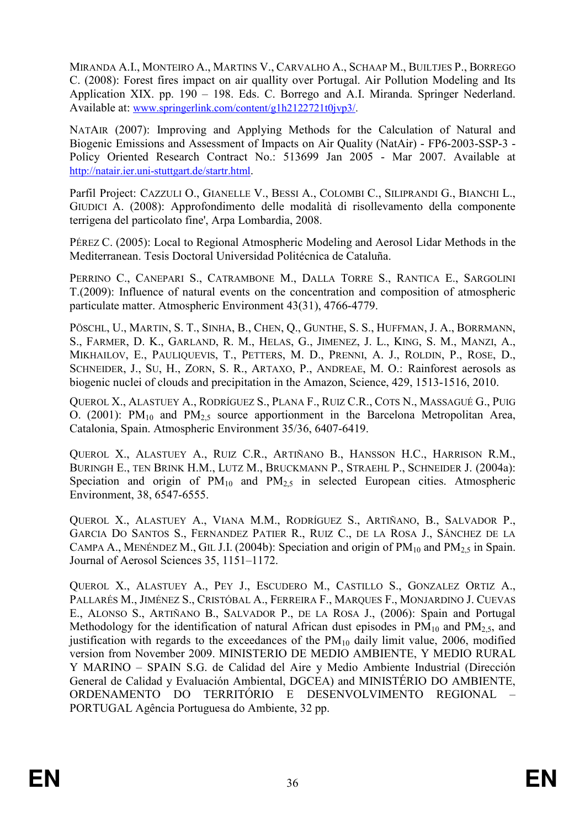MIRANDA A.I., MONTEIRO A., MARTINS V., CARVALHO A., SCHAAP M., BUILTJES P., BORREGO C. (2008): Forest fires impact on air quallity over Portugal. Air Pollution Modeling and Its Application XIX. pp. 190 – 198. Eds. C. Borrego and A.I. Miranda. Springer Nederland. Available at: www.springerlink.com/content/g1h2122721t0jvp3/.

NATAIR (2007): Improving and Applying Methods for the Calculation of Natural and Biogenic Emissions and Assessment of Impacts on Air Quality (NatAir) - FP6-2003-SSP-3 - Policy Oriented Research Contract No.: 513699 Jan 2005 - Mar 2007. Available at http://natair.ier.uni-stuttgart.de/startr.html.

Parfil Project: CAZZULI O., GIANELLE V., BESSI A., COLOMBI C., SILIPRANDI G., BIANCHI L., GIUDICI A. (2008): Approfondimento delle modalità di risollevamento della componente terrigena del particolato fine', Arpa Lombardia, 2008.

PÉREZ C. (2005): Local to Regional Atmospheric Modeling and Aerosol Lidar Methods in the Mediterranean. Tesis Doctoral Universidad Politécnica de Cataluña.

PERRINO C., CANEPARI S., CATRAMBONE M., DALLA TORRE S., RANTICA E., SARGOLINI T.(2009): Influence of natural events on the concentration and composition of atmospheric particulate matter. Atmospheric Environment 43(31), 4766-4779.

PÖSCHL, U., MARTIN, S. T., SINHA, B., CHEN, Q., GUNTHE, S. S., HUFFMAN, J. A., BORRMANN, S., FARMER, D. K., GARLAND, R. M., HELAS, G., JIMENEZ, J. L., KING, S. M., MANZI, A., MIKHAILOV, E., PAULIQUEVIS, T., PETTERS, M. D., PRENNI, A. J., ROLDIN, P., ROSE, D., SCHNEIDER, J., SU, H., ZORN, S. R., ARTAXO, P., ANDREAE, M. O.: Rainforest aerosols as biogenic nuclei of clouds and precipitation in the Amazon, Science, 429, 1513-1516, 2010.

QUEROL X., ALASTUEY A., RODRÍGUEZ S., PLANA F., RUIZ C.R., COTS N., MASSAGUÉ G., PUIG O. (2001):  $PM_{10}$  and  $PM_{2.5}$  source apportionment in the Barcelona Metropolitan Area, Catalonia, Spain. Atmospheric Environment 35/36, 6407-6419.

QUEROL X., ALASTUEY A., RUIZ C.R., ARTIÑANO B., HANSSON H.C., HARRISON R.M., BURINGH E., TEN BRINK H.M., LUTZ M., BRUCKMANN P., STRAEHL P., SCHNEIDER J. (2004a): Speciation and origin of  $PM_{10}$  and  $PM_{2.5}$  in selected European cities. Atmospheric Environment, 38, 6547-6555.

QUEROL X., ALASTUEY A., VIANA M.M., RODRÍGUEZ S., ARTIÑANO, B., SALVADOR P., GARCIA DO SANTOS S., FERNANDEZ PATIER R., RUIZ C., DE LA ROSA J., SÁNCHEZ DE LA CAMPA A., MENÉNDEZ M., GIL J.I. (2004b): Speciation and origin of  $PM_{10}$  and  $PM_{2.5}$  in Spain. Journal of Aerosol Sciences 35, 1151–1172.

QUEROL X., ALASTUEY A., PEY J., ESCUDERO M., CASTILLO S., GONZALEZ ORTIZ A., PALLARÉS M., JIMÉNEZ S., CRISTÓBAL A., FERREIRA F., MARQUES F., MONJARDINO J. CUEVAS E., ALONSO S., ARTIÑANO B., SALVADOR P., DE LA ROSA J., (2006): Spain and Portugal Methodology for the identification of natural African dust episodes in  $PM_{10}$  and  $PM_{2.5}$ , and justification with regards to the exceedances of the  $PM_{10}$  daily limit value, 2006, modified version from November 2009. MINISTERIO DE MEDIO AMBIENTE, Y MEDIO RURAL Y MARINO – SPAIN S.G. de Calidad del Aire y Medio Ambiente Industrial (Dirección General de Calidad y Evaluación Ambiental, DGCEA) and MINISTÉRIO DO AMBIENTE, ORDENAMENTO DO TERRITÓRIO E DESENVOLVIMENTO REGIONAL – PORTUGAL Agência Portuguesa do Ambiente, 32 pp.